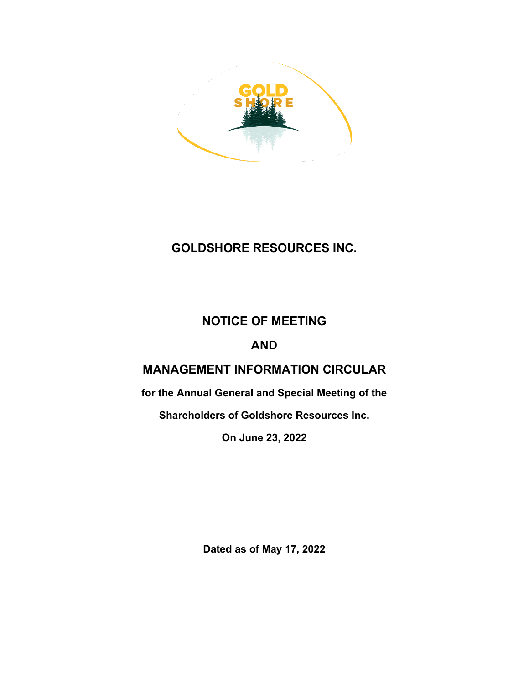

# **GOLDSHORE RESOURCES INC.**

# **NOTICE OF MEETING**

# **AND**

# **MANAGEMENT INFORMATION CIRCULAR**

**for the Annual General and Special Meeting of the**

**Shareholders of Goldshore Resources Inc.**

**On June 23, 2022**

**Dated as of May 17, 2022**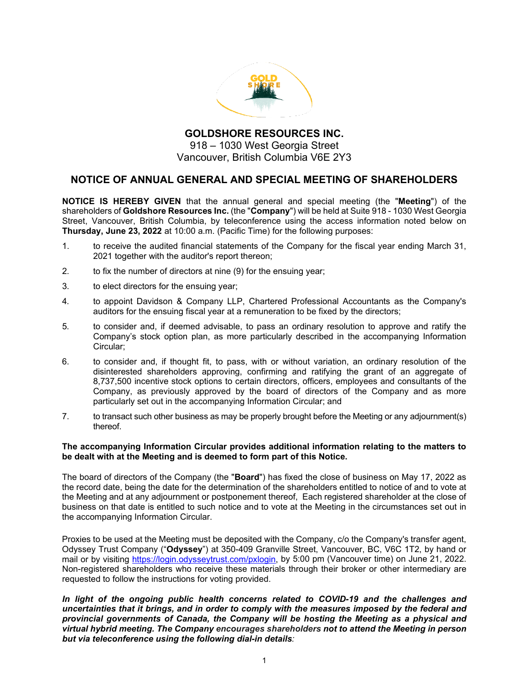

**GOLDSHORE RESOURCES INC.** 918 – 1030 West Georgia Street Vancouver, British Columbia V6E 2Y3

# **NOTICE OF ANNUAL GENERAL AND SPECIAL MEETING OF SHAREHOLDERS**

**NOTICE IS HEREBY GIVEN** that the annual general and special meeting (the "**Meeting**") of the shareholders of **Goldshore Resources Inc.** (the "**Company**") will be held at Suite 918 - 1030 West Georgia Street, Vancouver, British Columbia, by teleconference using the access information noted below on **Thursday, June 23, 2022** at 10:00 a.m. (Pacific Time) for the following purposes:

- 1. to receive the audited financial statements of the Company for the fiscal year ending March 31, 2021 together with the auditor's report thereon;
- 2. to fix the number of directors at nine (9) for the ensuing year;
- 3. to elect directors for the ensuing year;
- 4. to appoint Davidson & Company LLP, Chartered Professional Accountants as the Company's auditors for the ensuing fiscal year at a remuneration to be fixed by the directors;
- 5. to consider and, if deemed advisable, to pass an ordinary resolution to approve and ratify the Company's stock option plan, as more particularly described in the accompanying Information Circular;
- 6. to consider and, if thought fit, to pass, with or without variation, an ordinary resolution of the disinterested shareholders approving, confirming and ratifying the grant of an aggregate of 8,737,500 incentive stock options to certain directors, officers, employees and consultants of the Company, as previously approved by the board of directors of the Company and as more particularly set out in the accompanying Information Circular; and
- 7. to transact such other business as may be properly brought before the Meeting or any adjournment(s) thereof.

#### **The accompanying Information Circular provides additional information relating to the matters to be dealt with at the Meeting and is deemed to form part of this Notice.**

The board of directors of the Company (the "**Board**") has fixed the close of business on May 17, 2022 as the record date, being the date for the determination of the shareholders entitled to notice of and to vote at the Meeting and at any adjournment or postponement thereof, Each registered shareholder at the close of business on that date is entitled to such notice and to vote at the Meeting in the circumstances set out in the accompanying Information Circular.

Proxies to be used at the Meeting must be deposited with the Company, c/o the Company's transfer agent, Odyssey Trust Company ("**Odyssey**") at 350-409 Granville Street, Vancouver, BC, V6C 1T2, by hand or mail or by visiting [https://login.odysseytrust.com/pxlogin,](https://login.odysseytrust.com/pxlogin) by 5:00 pm (Vancouver time) on June 21, 2022. Non-registered shareholders who receive these materials through their broker or other intermediary are requested to follow the instructions for voting provided.

*In light of the ongoing public health concerns related to COVID-19 and the challenges and uncertainties that it brings, and in order to comply with the measures imposed by the federal and provincial governments of Canada, the Company will be hosting the Meeting as a physical and virtual hybrid meeting. The Company encourages shareholders not to attend the Meeting in person but via teleconference using the following dial-in details:*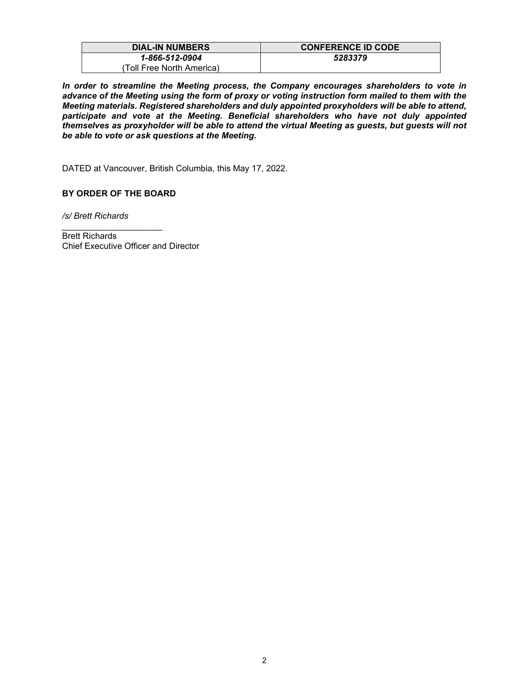| <b>DIAL-IN NUMBERS</b>     | <b>CONFERENCE ID CODE</b> |
|----------------------------|---------------------------|
| 1-866-512-0904             | 5283379                   |
| (Toll Free North America). |                           |

*In order to streamline the Meeting process, the Company encourages shareholders to vote in advance of the Meeting using the form of proxy or voting instruction form mailed to them with the Meeting materials. Registered shareholders and duly appointed proxyholders will be able to attend, participate and vote at the Meeting. Beneficial shareholders who have not duly appointed themselves as proxyholder will be able to attend the virtual Meeting as guests, but guests will not be able to vote or ask questions at the Meeting.*

DATED at Vancouver, British Columbia, this May 17, 2022.

#### **BY ORDER OF THE BOARD**

*/s/ Brett Richards*

*\_\_\_\_\_\_\_\_\_\_\_\_\_\_\_\_\_\_\_\_\_* Brett Richards Chief Executive Officer and Director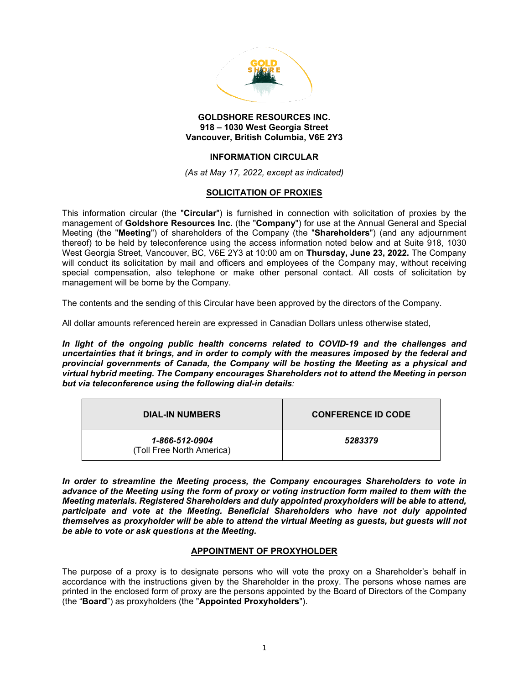

#### **GOLDSHORE RESOURCES INC. 918 – 1030 West Georgia Street Vancouver, British Columbia, V6E 2Y3**

#### **INFORMATION CIRCULAR**

*(As at May 17, 2022, except as indicated)* 

#### **SOLICITATION OF PROXIES**

This information circular (the "**Circular**") is furnished in connection with solicitation of proxies by the management of **Goldshore Resources Inc.** (the "**Company**") for use at the Annual General and Special Meeting (the "**Meeting**") of shareholders of the Company (the "**Shareholders**") (and any adjournment thereof) to be held by teleconference using the access information noted below and at Suite 918, 1030 West Georgia Street, Vancouver, BC, V6E 2Y3 at 10:00 am on **Thursday, June 23, 2022.** The Company will conduct its solicitation by mail and officers and employees of the Company may, without receiving special compensation, also telephone or make other personal contact. All costs of solicitation by management will be borne by the Company.

The contents and the sending of this Circular have been approved by the directors of the Company.

All dollar amounts referenced herein are expressed in Canadian Dollars unless otherwise stated,

In light of the ongoing public health concerns related to COVID-19 and the challenges and *uncertainties that it brings, and in order to comply with the measures imposed by the federal and provincial governments of Canada, the Company will be hosting the Meeting as a physical and virtual hybrid meeting. The Company encourages Shareholders not to attend the Meeting in person but via teleconference using the following dial-in details:* 

| <b>DIAL-IN NUMBERS</b>                      | <b>CONFERENCE ID CODE</b> |
|---------------------------------------------|---------------------------|
| 1-866-512-0904<br>(Toll Free North America) | 5283379                   |

*In order to streamline the Meeting process, the Company encourages Shareholders to vote in advance of the Meeting using the form of proxy or voting instruction form mailed to them with the Meeting materials. Registered Shareholders and duly appointed proxyholders will be able to attend, participate and vote at the Meeting. Beneficial Shareholders who have not duly appointed themselves as proxyholder will be able to attend the virtual Meeting as guests, but guests will not be able to vote or ask questions at the Meeting.*

#### **APPOINTMENT OF PROXYHOLDER**

The purpose of a proxy is to designate persons who will vote the proxy on a Shareholder's behalf in accordance with the instructions given by the Shareholder in the proxy. The persons whose names are printed in the enclosed form of proxy are the persons appointed by the Board of Directors of the Company (the "**Board**") as proxyholders (the "**Appointed Proxyholders**").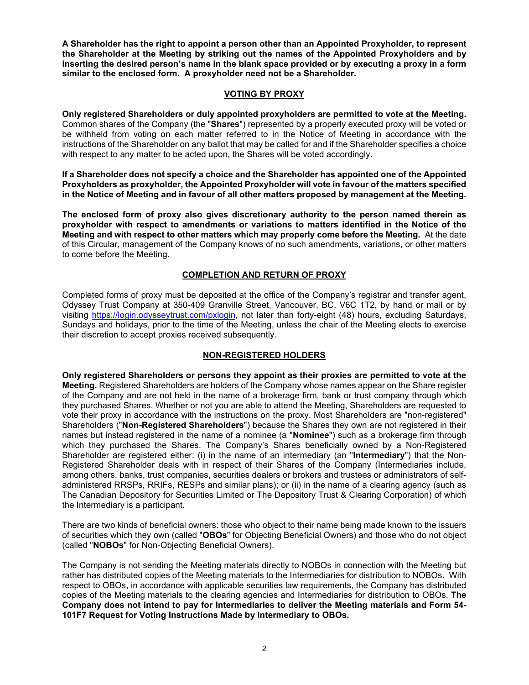**A Shareholder has the right to appoint a person other than an Appointed Proxyholder, to represent the Shareholder at the Meeting by striking out the names of the Appointed Proxyholders and by inserting the desired person's name in the blank space provided or by executing a proxy in a form similar to the enclosed form. A proxyholder need not be a Shareholder.**

#### **VOTING BY PROXY**

**Only registered Shareholders or duly appointed proxyholders are permitted to vote at the Meeting.**  Common shares of the Company (the "**Shares**") represented by a properly executed proxy will be voted or be withheld from voting on each matter referred to in the Notice of Meeting in accordance with the instructions of the Shareholder on any ballot that may be called for and if the Shareholder specifies a choice with respect to any matter to be acted upon, the Shares will be voted accordingly.

**If a Shareholder does not specify a choice and the Shareholder has appointed one of the Appointed Proxyholders as proxyholder, the Appointed Proxyholder will vote in favour of the matters specified in the Notice of Meeting and in favour of all other matters proposed by management at the Meeting.**

**The enclosed form of proxy also gives discretionary authority to the person named therein as proxyholder with respect to amendments or variations to matters identified in the Notice of the Meeting and with respect to other matters which may properly come before the Meeting.** At the date of this Circular, management of the Company knows of no such amendments, variations, or other matters to come before the Meeting.

#### **COMPLETION AND RETURN OF PROXY**

Completed forms of proxy must be deposited at the office of the Company's registrar and transfer agent, Odyssey Trust Company at 350-409 Granville Street, Vancouver, BC, V6C 1T2, by hand or mail or by visiting [https://login.odysseytrust.com/pxlogin,](https://login.odysseytrust.com/pxlogin) not later than forty-eight (48) hours, excluding Saturdays, Sundays and holidays, prior to the time of the Meeting, unless the chair of the Meeting elects to exercise their discretion to accept proxies received subsequently.

#### **NON-REGISTERED HOLDERS**

**Only registered Shareholders or persons they appoint as their proxies are permitted to vote at the Meeting.** Registered Shareholders are holders of the Company whose names appear on the Share register of the Company and are not held in the name of a brokerage firm, bank or trust company through which they purchased Shares. Whether or not you are able to attend the Meeting, Shareholders are requested to vote their proxy in accordance with the instructions on the proxy. Most Shareholders are "non-registered" Shareholders ("**Non-Registered Shareholders**") because the Shares they own are not registered in their names but instead registered in the name of a nominee (a "**Nominee**") such as a brokerage firm through which they purchased the Shares. The Company's Shares beneficially owned by a Non-Registered Shareholder are registered either: (i) in the name of an intermediary (an "**Intermediary**") that the Non-Registered Shareholder deals with in respect of their Shares of the Company (Intermediaries include, among others, banks, trust companies, securities dealers or brokers and trustees or administrators of selfadministered RRSPs, RRIFs, RESPs and similar plans); or (ii) in the name of a clearing agency (such as The Canadian Depository for Securities Limited or The Depository Trust & Clearing Corporation) of which the Intermediary is a participant.

There are two kinds of beneficial owners: those who object to their name being made known to the issuers of securities which they own (called "**OBOs**" for Objecting Beneficial Owners) and those who do not object (called "**NOBOs**" for Non-Objecting Beneficial Owners).

The Company is not sending the Meeting materials directly to NOBOs in connection with the Meeting but rather has distributed copies of the Meeting materials to the Intermediaries for distribution to NOBOs. With respect to OBOs, in accordance with applicable securities law requirements, the Company has distributed copies of the Meeting materials to the clearing agencies and Intermediaries for distribution to OBOs. **The Company does not intend to pay for Intermediaries to deliver the Meeting materials and Form 54- 101F7 Request for Voting Instructions Made by Intermediary to OBOs.**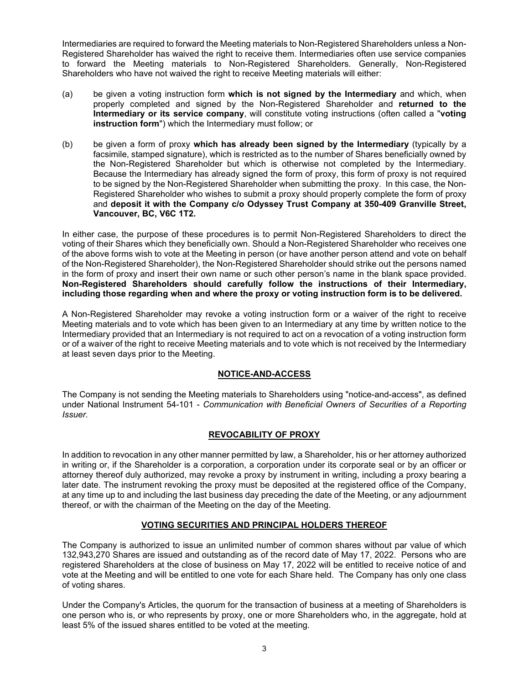Intermediaries are required to forward the Meeting materials to Non-Registered Shareholders unless a Non-Registered Shareholder has waived the right to receive them. Intermediaries often use service companies to forward the Meeting materials to Non-Registered Shareholders. Generally, Non-Registered Shareholders who have not waived the right to receive Meeting materials will either:

- (a) be given a voting instruction form **which is not signed by the Intermediary** and which, when properly completed and signed by the Non-Registered Shareholder and **returned to the Intermediary or its service company**, will constitute voting instructions (often called a "**voting instruction form**") which the Intermediary must follow; or
- (b) be given a form of proxy **which has already been signed by the Intermediary** (typically by a facsimile, stamped signature), which is restricted as to the number of Shares beneficially owned by the Non-Registered Shareholder but which is otherwise not completed by the Intermediary. Because the Intermediary has already signed the form of proxy, this form of proxy is not required to be signed by the Non-Registered Shareholder when submitting the proxy. In this case, the Non-Registered Shareholder who wishes to submit a proxy should properly complete the form of proxy and **deposit it with the Company c/o Odyssey Trust Company at 350-409 Granville Street, Vancouver, BC, V6C 1T2.**

In either case, the purpose of these procedures is to permit Non-Registered Shareholders to direct the voting of their Shares which they beneficially own. Should a Non-Registered Shareholder who receives one of the above forms wish to vote at the Meeting in person (or have another person attend and vote on behalf of the Non-Registered Shareholder), the Non-Registered Shareholder should strike out the persons named in the form of proxy and insert their own name or such other person's name in the blank space provided. **Non-Registered Shareholders should carefully follow the instructions of their Intermediary, including those regarding when and where the proxy or voting instruction form is to be delivered.**

A Non-Registered Shareholder may revoke a voting instruction form or a waiver of the right to receive Meeting materials and to vote which has been given to an Intermediary at any time by written notice to the Intermediary provided that an Intermediary is not required to act on a revocation of a voting instruction form or of a waiver of the right to receive Meeting materials and to vote which is not received by the Intermediary at least seven days prior to the Meeting.

#### **NOTICE-AND-ACCESS**

The Company is not sending the Meeting materials to Shareholders using "notice-and-access", as defined under National Instrument 54-101 - *Communication with Beneficial Owners of Securities of a Reporting Issuer.*

#### **REVOCABILITY OF PROXY**

In addition to revocation in any other manner permitted by law, a Shareholder, his or her attorney authorized in writing or, if the Shareholder is a corporation, a corporation under its corporate seal or by an officer or attorney thereof duly authorized, may revoke a proxy by instrument in writing, including a proxy bearing a later date. The instrument revoking the proxy must be deposited at the registered office of the Company, at any time up to and including the last business day preceding the date of the Meeting, or any adjournment thereof, or with the chairman of the Meeting on the day of the Meeting.

#### **VOTING SECURITIES AND PRINCIPAL HOLDERS THEREOF**

The Company is authorized to issue an unlimited number of common shares without par value of which 132,943,270 Shares are issued and outstanding as of the record date of May 17, 2022. Persons who are registered Shareholders at the close of business on May 17, 2022 will be entitled to receive notice of and vote at the Meeting and will be entitled to one vote for each Share held. The Company has only one class of voting shares.

Under the Company's Articles, the quorum for the transaction of business at a meeting of Shareholders is one person who is, or who represents by proxy, one or more Shareholders who, in the aggregate, hold at least 5% of the issued shares entitled to be voted at the meeting.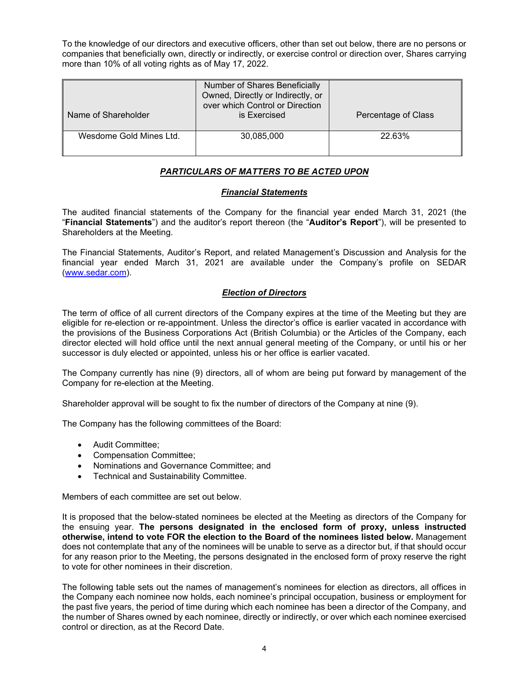To the knowledge of our directors and executive officers, other than set out below, there are no persons or companies that beneficially own, directly or indirectly, or exercise control or direction over, Shares carrying more than 10% of all voting rights as of May 17, 2022.

| Name of Shareholder     | Number of Shares Beneficially<br>Owned, Directly or Indirectly, or<br>over which Control or Direction<br>is Exercised | Percentage of Class |
|-------------------------|-----------------------------------------------------------------------------------------------------------------------|---------------------|
| Wesdome Gold Mines Ltd. | 30,085,000                                                                                                            | 22.63%              |

#### *PARTICULARS OF MATTERS TO BE ACTED UPON*

#### *Financial Statements*

The audited financial statements of the Company for the financial year ended March 31, 2021 (the "**Financial Statements**") and the auditor's report thereon (the "**Auditor's Report**"), will be presented to Shareholders at the Meeting.

The Financial Statements, Auditor's Report, and related Management's Discussion and Analysis for the financial year ended March 31, 2021 are available under the Company's profile on SEDAR [\(www.sedar.com\)](http://www.sedar.com/).

#### *Election of Directors*

The term of office of all current directors of the Company expires at the time of the Meeting but they are eligible for re-election or re-appointment. Unless the director's office is earlier vacated in accordance with the provisions of the Business Corporations Act (British Columbia) or the Articles of the Company, each director elected will hold office until the next annual general meeting of the Company, or until his or her successor is duly elected or appointed, unless his or her office is earlier vacated.

The Company currently has nine (9) directors, all of whom are being put forward by management of the Company for re-election at the Meeting.

Shareholder approval will be sought to fix the number of directors of the Company at nine (9).

The Company has the following committees of the Board:

- Audit Committee;
- Compensation Committee;
- Nominations and Governance Committee; and
- Technical and Sustainability Committee.

Members of each committee are set out below.

It is proposed that the below-stated nominees be elected at the Meeting as directors of the Company for the ensuing year. **The persons designated in the enclosed form of proxy, unless instructed otherwise, intend to vote FOR the election to the Board of the nominees listed below.** Management does not contemplate that any of the nominees will be unable to serve as a director but, if that should occur for any reason prior to the Meeting, the persons designated in the enclosed form of proxy reserve the right to vote for other nominees in their discretion.

The following table sets out the names of management's nominees for election as directors, all offices in the Company each nominee now holds, each nominee's principal occupation, business or employment for the past five years, the period of time during which each nominee has been a director of the Company, and the number of Shares owned by each nominee, directly or indirectly, or over which each nominee exercised control or direction, as at the Record Date.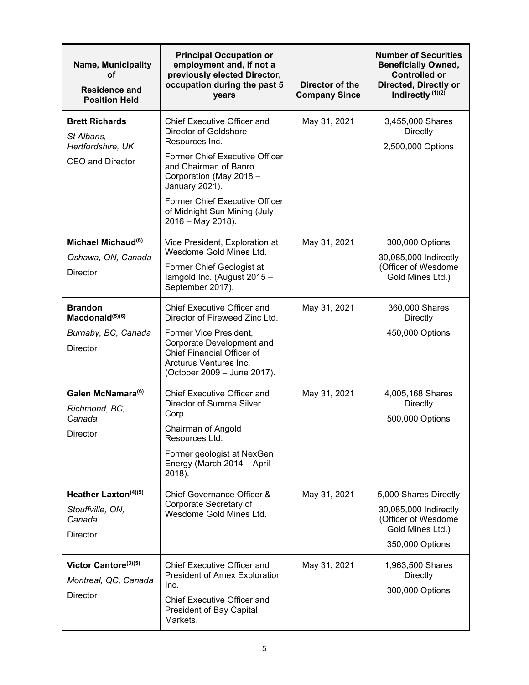| <b>Name, Municipality</b><br>οf<br><b>Residence and</b><br><b>Position Held</b>         | <b>Principal Occupation or</b><br>employment and, if not a<br>previously elected Director,<br>occupation during the past 5<br>Director of the<br><b>Company Since</b><br>years                                                                                                             |              | <b>Number of Securities</b><br><b>Beneficially Owned,</b><br><b>Controlled or</b><br>Directed, Directly or<br>Indirectly (1)(2) |  |
|-----------------------------------------------------------------------------------------|--------------------------------------------------------------------------------------------------------------------------------------------------------------------------------------------------------------------------------------------------------------------------------------------|--------------|---------------------------------------------------------------------------------------------------------------------------------|--|
| <b>Brett Richards</b><br>St Albans,<br>Hertfordshire, UK<br><b>CEO and Director</b>     | <b>Chief Executive Officer and</b><br>Director of Goldshore<br>Resources Inc.<br><b>Former Chief Executive Officer</b><br>and Chairman of Banro<br>Corporation (May 2018 -<br>January 2021).<br><b>Former Chief Executive Officer</b><br>of Midnight Sun Mining (July<br>2016 - May 2018). | May 31, 2021 | 3,455,000 Shares<br><b>Directly</b><br>2,500,000 Options                                                                        |  |
| Michael Michaud <sup>(6)</sup><br>Oshawa, ON, Canada<br><b>Director</b>                 | Vice President, Exploration at<br>Wesdome Gold Mines Ltd.<br>Former Chief Geologist at<br>lamgold Inc. (August 2015 -<br>September 2017).                                                                                                                                                  | May 31, 2021 | 300,000 Options<br>30,085,000 Indirectly<br>(Officer of Wesdome<br>Gold Mines Ltd.)                                             |  |
| <b>Brandon</b><br>Macdonald <sup>(5)(6)</sup><br>Burnaby, BC, Canada<br><b>Director</b> | <b>Chief Executive Officer and</b><br>Director of Fireweed Zinc Ltd.<br>Former Vice President,<br>Corporate Development and<br>Chief Financial Officer of<br>Arcturus Ventures Inc.<br>(October 2009 - June 2017).                                                                         | May 31, 2021 | 360,000 Shares<br>Directly<br>450,000 Options                                                                                   |  |
| Galen McNamara <sup>(6)</sup><br>Richmond, BC,<br>Canada<br>Director                    | <b>Chief Executive Officer and</b><br>Director of Summa Silver<br>Corp.<br>Chairman of Angold<br>Resources Ltd.<br>Former geologist at NexGen<br>Energy (March 2014 - April<br>2018).                                                                                                      | May 31, 2021 | 4,005,168 Shares<br><b>Directly</b><br>500,000 Options                                                                          |  |
| Heather Laxton $(4)(5)$<br>Stouffville, ON,<br>Canada<br><b>Director</b>                | Chief Governance Officer &<br>Corporate Secretary of<br>Wesdome Gold Mines Ltd.                                                                                                                                                                                                            | May 31, 2021 | 5,000 Shares Directly<br>30,085,000 Indirectly<br>(Officer of Wesdome<br>Gold Mines Ltd.)<br>350,000 Options                    |  |
| Victor Cantore(3)(5)<br>Montreal, QC, Canada<br><b>Director</b>                         | <b>Chief Executive Officer and</b><br>President of Amex Exploration<br>Inc.<br><b>Chief Executive Officer and</b><br>President of Bay Capital<br>Markets.                                                                                                                                  | May 31, 2021 | 1,963,500 Shares<br>Directly<br>300,000 Options                                                                                 |  |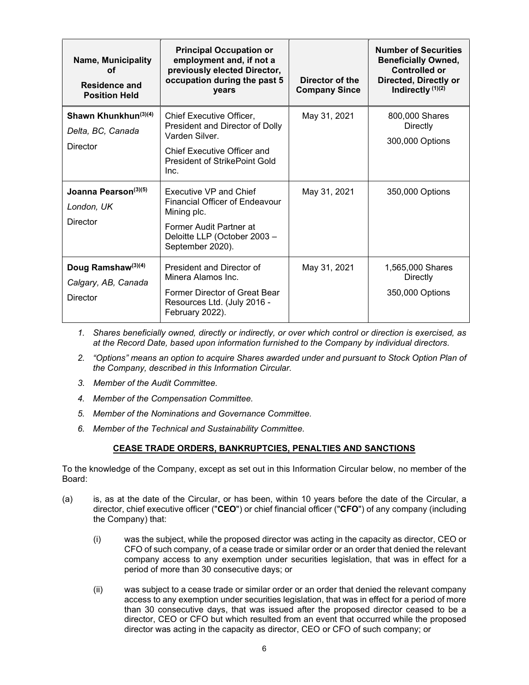| <b>Name, Municipality</b><br>οf<br><b>Residence and</b><br><b>Position Held</b> | <b>Principal Occupation or</b><br>employment and, if not a<br>previously elected Director,<br>occupation during the past 5<br>years                          | Director of the<br><b>Company Since</b> | <b>Number of Securities</b><br><b>Beneficially Owned,</b><br><b>Controlled or</b><br>Directed, Directly or<br>Indirectly (1)(2) |
|---------------------------------------------------------------------------------|--------------------------------------------------------------------------------------------------------------------------------------------------------------|-----------------------------------------|---------------------------------------------------------------------------------------------------------------------------------|
| Shawn Khunkhun $(3)(4)$<br>Delta, BC, Canada<br>Director                        | <b>Chief Executive Officer.</b><br>President and Director of Dolly<br>Varden Silver.<br>Chief Executive Officer and<br>President of StrikePoint Gold<br>Inc. | May 31, 2021                            | 800,000 Shares<br>Directly<br>300,000 Options                                                                                   |
| Joanna Pearson(3)(5)<br>London, UK<br>Director                                  | Executive VP and Chief<br>Financial Officer of Endeavour<br>Mining plc.<br>Former Audit Partner at<br>Deloitte LLP (October 2003 -<br>September 2020).       | May 31, 2021                            | 350,000 Options                                                                                                                 |
| Doug Ramshaw <sup>(3)(4)</sup><br>Calgary, AB, Canada<br>Director               | President and Director of<br>Minera Alamos Inc.<br>Former Director of Great Bear<br>Resources Ltd. (July 2016 -<br>February 2022).                           | May 31, 2021                            | 1,565,000 Shares<br>Directly<br>350,000 Options                                                                                 |

- *1. Shares beneficially owned, directly or indirectly, or over which control or direction is exercised, as at the Record Date, based upon information furnished to the Company by individual directors.*
- *2. "Options" means an option to acquire Shares awarded under and pursuant to Stock Option Plan of the Company, described in this Information Circular.*
- *3. Member of the Audit Committee.*
- *4. Member of the Compensation Committee.*
- *5. Member of the Nominations and Governance Committee.*
- *6. Member of the Technical and Sustainability Committee.*

#### **CEASE TRADE ORDERS, BANKRUPTCIES, PENALTIES AND SANCTIONS**

To the knowledge of the Company, except as set out in this Information Circular below, no member of the Board:

- (a) is, as at the date of the Circular, or has been, within 10 years before the date of the Circular, a director, chief executive officer ("**CEO**") or chief financial officer ("**CFO**") of any company (including the Company) that:
	- (i) was the subject, while the proposed director was acting in the capacity as director, CEO or CFO of such company, of a cease trade or similar order or an order that denied the relevant company access to any exemption under securities legislation, that was in effect for a period of more than 30 consecutive days; or
	- (ii) was subject to a cease trade or similar order or an order that denied the relevant company access to any exemption under securities legislation, that was in effect for a period of more than 30 consecutive days, that was issued after the proposed director ceased to be a director, CEO or CFO but which resulted from an event that occurred while the proposed director was acting in the capacity as director, CEO or CFO of such company; or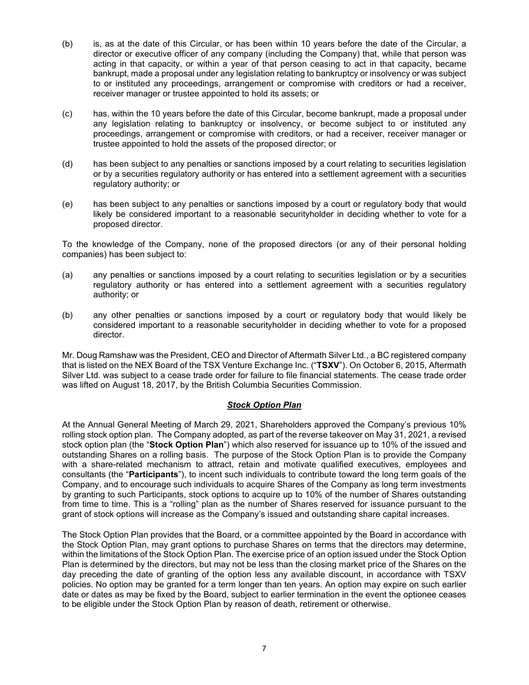- (b) is, as at the date of this Circular, or has been within 10 years before the date of the Circular, a director or executive officer of any company (including the Company) that, while that person was acting in that capacity, or within a year of that person ceasing to act in that capacity, became bankrupt, made a proposal under any legislation relating to bankruptcy or insolvency or was subject to or instituted any proceedings, arrangement or compromise with creditors or had a receiver, receiver manager or trustee appointed to hold its assets; or
- (c) has, within the 10 years before the date of this Circular, become bankrupt, made a proposal under any legislation relating to bankruptcy or insolvency, or become subject to or instituted any proceedings, arrangement or compromise with creditors, or had a receiver, receiver manager or trustee appointed to hold the assets of the proposed director; or
- (d) has been subject to any penalties or sanctions imposed by a court relating to securities legislation or by a securities regulatory authority or has entered into a settlement agreement with a securities regulatory authority; or
- (e) has been subject to any penalties or sanctions imposed by a court or regulatory body that would likely be considered important to a reasonable securityholder in deciding whether to vote for a proposed director.

To the knowledge of the Company, none of the proposed directors (or any of their personal holding companies) has been subject to:

- (a) any penalties or sanctions imposed by a court relating to securities legislation or by a securities regulatory authority or has entered into a settlement agreement with a securities regulatory authority; or
- (b) any other penalties or sanctions imposed by a court or regulatory body that would likely be considered important to a reasonable securityholder in deciding whether to vote for a proposed director.

Mr. Doug Ramshaw was the President, CEO and Director of Aftermath Silver Ltd., a BC registered company that is listed on the NEX Board of the TSX Venture Exchange Inc. ("**TSXV**"). On October 6, 2015, Aftermath Silver Ltd. was subject to a cease trade order for failure to file financial statements. The cease trade order was lifted on August 18, 2017, by the British Columbia Securities Commission.

#### *Stock Option Plan*

At the Annual General Meeting of March 29, 2021, Shareholders approved the Company's previous 10% rolling stock option plan. The Company adopted, as part of the reverse takeover on May 31, 2021, a revised stock option plan (the "**Stock Option Plan**") which also reserved for issuance up to 10% of the issued and outstanding Shares on a rolling basis. The purpose of the Stock Option Plan is to provide the Company with a share-related mechanism to attract, retain and motivate qualified executives, employees and consultants (the "**Participants**"), to incent such individuals to contribute toward the long term goals of the Company, and to encourage such individuals to acquire Shares of the Company as long term investments by granting to such Participants, stock options to acquire up to 10% of the number of Shares outstanding from time to time. This is a "rolling" plan as the number of Shares reserved for issuance pursuant to the grant of stock options will increase as the Company's issued and outstanding share capital increases.

The Stock Option Plan provides that the Board, or a committee appointed by the Board in accordance with the Stock Option Plan, may grant options to purchase Shares on terms that the directors may determine, within the limitations of the Stock Option Plan. The exercise price of an option issued under the Stock Option Plan is determined by the directors, but may not be less than the closing market price of the Shares on the day preceding the date of granting of the option less any available discount, in accordance with TSXV policies. No option may be granted for a term longer than ten years. An option may expire on such earlier date or dates as may be fixed by the Board, subject to earlier termination in the event the optionee ceases to be eligible under the Stock Option Plan by reason of death, retirement or otherwise.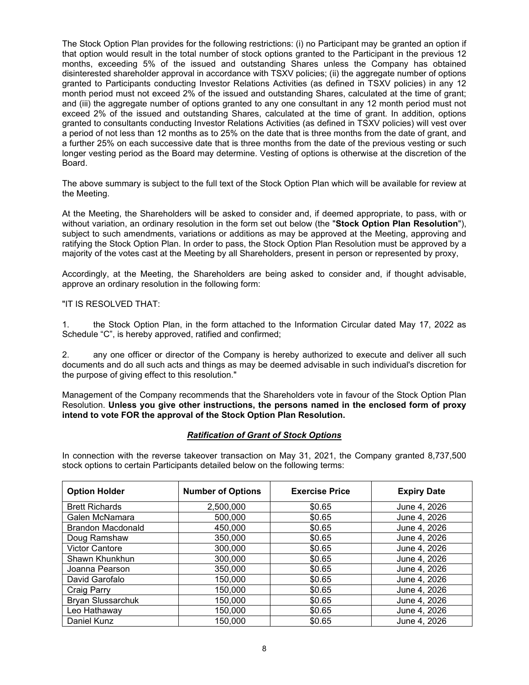The Stock Option Plan provides for the following restrictions: (i) no Participant may be granted an option if that option would result in the total number of stock options granted to the Participant in the previous 12 months, exceeding 5% of the issued and outstanding Shares unless the Company has obtained disinterested shareholder approval in accordance with TSXV policies; (ii) the aggregate number of options granted to Participants conducting Investor Relations Activities (as defined in TSXV policies) in any 12 month period must not exceed 2% of the issued and outstanding Shares, calculated at the time of grant; and (iii) the aggregate number of options granted to any one consultant in any 12 month period must not exceed 2% of the issued and outstanding Shares, calculated at the time of grant. In addition, options granted to consultants conducting Investor Relations Activities (as defined in TSXV policies) will vest over a period of not less than 12 months as to 25% on the date that is three months from the date of grant, and a further 25% on each successive date that is three months from the date of the previous vesting or such longer vesting period as the Board may determine. Vesting of options is otherwise at the discretion of the Board.

The above summary is subject to the full text of the Stock Option Plan which will be available for review at the Meeting.

At the Meeting, the Shareholders will be asked to consider and, if deemed appropriate, to pass, with or without variation, an ordinary resolution in the form set out below (the "**Stock Option Plan Resolution**"), subject to such amendments, variations or additions as may be approved at the Meeting, approving and ratifying the Stock Option Plan. In order to pass, the Stock Option Plan Resolution must be approved by a majority of the votes cast at the Meeting by all Shareholders, present in person or represented by proxy,

Accordingly, at the Meeting, the Shareholders are being asked to consider and, if thought advisable, approve an ordinary resolution in the following form:

#### "IT IS RESOLVED THAT:

1. the Stock Option Plan, in the form attached to the Information Circular dated May 17, 2022 as Schedule "C", is hereby approved, ratified and confirmed;

2. any one officer or director of the Company is hereby authorized to execute and deliver all such documents and do all such acts and things as may be deemed advisable in such individual's discretion for the purpose of giving effect to this resolution."

Management of the Company recommends that the Shareholders vote in favour of the Stock Option Plan Resolution. **Unless you give other instructions, the persons named in the enclosed form of proxy intend to vote FOR the approval of the Stock Option Plan Resolution.**

#### *Ratification of Grant of Stock Options*

In connection with the reverse takeover transaction on May 31, 2021, the Company granted 8,737,500 stock options to certain Participants detailed below on the following terms:

| <b>Option Holder</b>     | <b>Number of Options</b> | <b>Exercise Price</b> | <b>Expiry Date</b> |
|--------------------------|--------------------------|-----------------------|--------------------|
| <b>Brett Richards</b>    | 2,500,000                | \$0.65                | June 4, 2026       |
| Galen McNamara           | 500,000                  | \$0.65                | June 4, 2026       |
| <b>Brandon Macdonald</b> | 450,000                  | \$0.65                | June 4, 2026       |
| Doug Ramshaw             | 350,000                  | \$0.65                | June 4, 2026       |
| <b>Victor Cantore</b>    | 300,000                  | \$0.65                | June 4, 2026       |
| Shawn Khunkhun           | 300,000                  | \$0.65                | June 4, 2026       |
| Joanna Pearson           | 350,000                  | \$0.65                | June 4, 2026       |
| David Garofalo           | 150,000                  | \$0.65                | June 4, 2026       |
| Craig Parry              | 150,000                  | \$0.65                | June 4, 2026       |
| <b>Bryan Slussarchuk</b> | 150,000                  | \$0.65                | June 4, 2026       |
| Leo Hathaway             | 150,000                  | \$0.65                | June 4, 2026       |
| Daniel Kunz              | 150,000                  | \$0.65                | June 4, 2026       |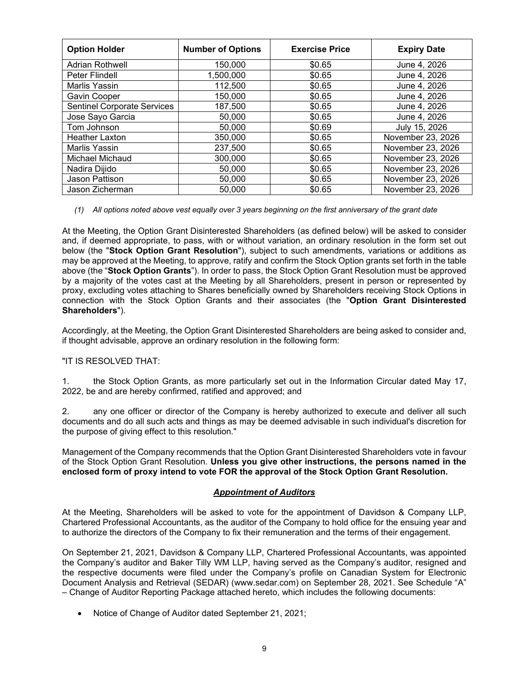| <b>Option Holder</b>               | <b>Number of Options</b> | <b>Exercise Price</b> | <b>Expiry Date</b> |
|------------------------------------|--------------------------|-----------------------|--------------------|
| <b>Adrian Rothwell</b>             | 150,000                  | \$0.65                | June 4, 2026       |
| Peter Flindell                     | 1,500,000                | \$0.65                | June 4, 2026       |
| Marlis Yassin                      | 112,500                  | \$0.65                | June 4, 2026       |
| Gavin Cooper                       | 150,000                  | \$0.65                | June 4, 2026       |
| <b>Sentinel Corporate Services</b> | 187,500                  | \$0.65                | June 4, 2026       |
| Jose Sayo Garcia                   | 50,000                   | \$0.65                | June 4, 2026       |
| Tom Johnson                        | 50,000                   | \$0.69                | July 15, 2026      |
| <b>Heather Laxton</b>              | 350,000                  | \$0.65                | November 23, 2026  |
| Marlis Yassin                      | 237,500                  | \$0.65                | November 23, 2026  |
| Michael Michaud                    | 300,000                  | \$0.65                | November 23, 2026  |
| Nadira Dijido                      | 50,000                   | \$0.65                | November 23, 2026  |
| Jason Pattison                     | 50,000                   | \$0.65                | November 23, 2026  |
| Jason Zicherman                    | 50,000                   | \$0.65                | November 23, 2026  |

#### *(1) All options noted above vest equally over 3 years beginning on the first anniversary of the grant date*

At the Meeting, the Option Grant Disinterested Shareholders (as defined below) will be asked to consider and, if deemed appropriate, to pass, with or without variation, an ordinary resolution in the form set out below (the "**Stock Option Grant Resolution**"), subject to such amendments, variations or additions as may be approved at the Meeting, to approve, ratify and confirm the Stock Option grants set forth in the table above (the "**Stock Option Grants**"). In order to pass, the Stock Option Grant Resolution must be approved by a majority of the votes cast at the Meeting by all Shareholders, present in person or represented by proxy, excluding votes attaching to Shares beneficially owned by Shareholders receiving Stock Options in connection with the Stock Option Grants and their associates (the "**Option Grant Disinterested Shareholders**").

Accordingly, at the Meeting, the Option Grant Disinterested Shareholders are being asked to consider and, if thought advisable, approve an ordinary resolution in the following form:

#### "IT IS RESOLVED THAT:

1. the Stock Option Grants, as more particularly set out in the Information Circular dated May 17, 2022, be and are hereby confirmed, ratified and approved; and

2. any one officer or director of the Company is hereby authorized to execute and deliver all such documents and do all such acts and things as may be deemed advisable in such individual's discretion for the purpose of giving effect to this resolution."

Management of the Company recommends that the Option Grant Disinterested Shareholders vote in favour of the Stock Option Grant Resolution. **Unless you give other instructions, the persons named in the enclosed form of proxy intend to vote FOR the approval of the Stock Option Grant Resolution.**

#### *Appointment of Auditors*

At the Meeting, Shareholders will be asked to vote for the appointment of Davidson & Company LLP, Chartered Professional Accountants, as the auditor of the Company to hold office for the ensuing year and to authorize the directors of the Company to fix their remuneration and the terms of their engagement.

On September 21, 2021, Davidson & Company LLP, Chartered Professional Accountants, was appointed the Company's auditor and Baker Tilly WM LLP, having served as the Company's auditor, resigned and the respective documents were filed under the Company's profile on Canadian System for Electronic Document Analysis and Retrieval (SEDAR) (www.sedar.com) on September 28, 2021. See Schedule "A" – Change of Auditor Reporting Package attached hereto, which includes the following documents:

• Notice of Change of Auditor dated September 21, 2021;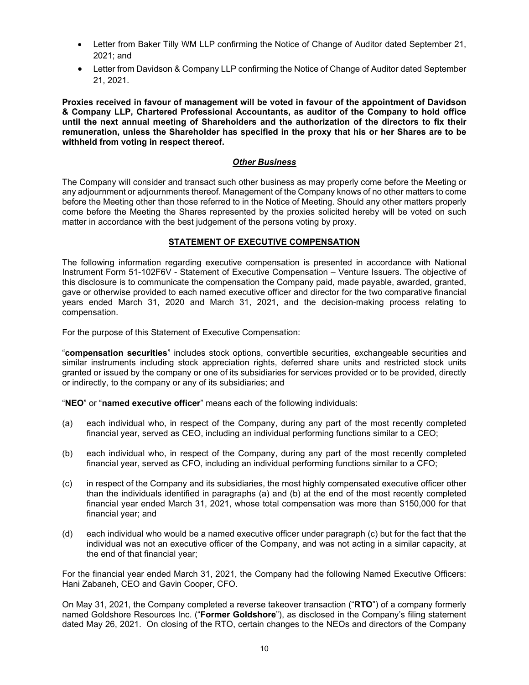- Letter from Baker Tilly WM LLP confirming the Notice of Change of Auditor dated September 21, 2021; and
- Letter from Davidson & Company LLP confirming the Notice of Change of Auditor dated September 21, 2021.

**Proxies received in favour of management will be voted in favour of the appointment of Davidson & Company LLP, Chartered Professional Accountants, as auditor of the Company to hold office until the next annual meeting of Shareholders and the authorization of the directors to fix their remuneration, unless the Shareholder has specified in the proxy that his or her Shares are to be withheld from voting in respect thereof.**

#### *Other Business*

The Company will consider and transact such other business as may properly come before the Meeting or any adjournment or adjournments thereof. Management of the Company knows of no other matters to come before the Meeting other than those referred to in the Notice of Meeting. Should any other matters properly come before the Meeting the Shares represented by the proxies solicited hereby will be voted on such matter in accordance with the best judgement of the persons voting by proxy.

#### **STATEMENT OF EXECUTIVE COMPENSATION**

The following information regarding executive compensation is presented in accordance with National Instrument Form 51-102F6V - Statement of Executive Compensation – Venture Issuers. The objective of this disclosure is to communicate the compensation the Company paid, made payable, awarded, granted, gave or otherwise provided to each named executive officer and director for the two comparative financial years ended March 31, 2020 and March 31, 2021, and the decision-making process relating to compensation.

For the purpose of this Statement of Executive Compensation:

"**compensation securities**" includes stock options, convertible securities, exchangeable securities and similar instruments including stock appreciation rights, deferred share units and restricted stock units granted or issued by the company or one of its subsidiaries for services provided or to be provided, directly or indirectly, to the company or any of its subsidiaries; and

"**NEO**" or "**named executive officer**" means each of the following individuals:

- (a) each individual who, in respect of the Company, during any part of the most recently completed financial year, served as CEO, including an individual performing functions similar to a CEO;
- (b) each individual who, in respect of the Company, during any part of the most recently completed financial year, served as CFO, including an individual performing functions similar to a CFO;
- (c) in respect of the Company and its subsidiaries, the most highly compensated executive officer other than the individuals identified in paragraphs (a) and (b) at the end of the most recently completed financial year ended March 31, 2021, whose total compensation was more than \$150,000 for that financial year; and
- (d) each individual who would be a named executive officer under paragraph (c) but for the fact that the individual was not an executive officer of the Company, and was not acting in a similar capacity, at the end of that financial year;

For the financial year ended March 31, 2021, the Company had the following Named Executive Officers: Hani Zabaneh, CEO and Gavin Cooper, CFO.

On May 31, 2021, the Company completed a reverse takeover transaction ("**RTO**") of a company formerly named Goldshore Resources Inc. ("**Former Goldshore**"), as disclosed in the Company's filing statement dated May 26, 2021. On closing of the RTO, certain changes to the NEOs and directors of the Company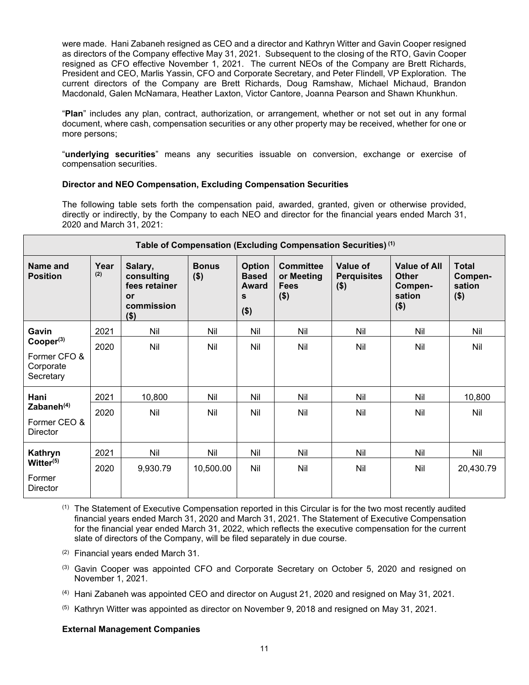were made. Hani Zabaneh resigned as CEO and a director and Kathryn Witter and Gavin Cooper resigned as directors of the Company effective May 31, 2021. Subsequent to the closing of the RTO, Gavin Cooper resigned as CFO effective November 1, 2021. The current NEOs of the Company are Brett Richards, President and CEO, Marlis Yassin, CFO and Corporate Secretary, and Peter Flindell, VP Exploration. The current directors of the Company are Brett Richards, Doug Ramshaw, Michael Michaud, Brandon Macdonald, Galen McNamara, Heather Laxton, Victor Cantore, Joanna Pearson and Shawn Khunkhun.

"**Plan**" includes any plan, contract, authorization, or arrangement, whether or not set out in any formal document, where cash, compensation securities or any other property may be received, whether for one or more persons;

"**underlying securities**" means any securities issuable on conversion, exchange or exercise of compensation securities.

#### **Director and NEO Compensation, Excluding Compensation Securities**

The following table sets forth the compensation paid, awarded, granted, given or otherwise provided, directly or indirectly, by the Company to each NEO and director for the financial years ended March 31, 2020 and March 31, 2021:

| Table of Compensation (Excluding Compensation Securities) <sup>(1)</sup> |             |                                                                       |                         |                                                        |                                                          |                                           |                                                                     |                                              |
|--------------------------------------------------------------------------|-------------|-----------------------------------------------------------------------|-------------------------|--------------------------------------------------------|----------------------------------------------------------|-------------------------------------------|---------------------------------------------------------------------|----------------------------------------------|
| Name and<br><b>Position</b>                                              | Year<br>(2) | Salary,<br>consulting<br>fees retainer<br>or<br>commission<br>$($ \$) | <b>Bonus</b><br>$($ \$) | <b>Option</b><br><b>Based</b><br>Award<br>S<br>$($ \$) | <b>Committee</b><br>or Meeting<br><b>Fees</b><br>$($ \$) | Value of<br><b>Perquisites</b><br>$($ \$) | <b>Value of All</b><br><b>Other</b><br>Compen-<br>sation<br>$($ \$) | <b>Total</b><br>Compen-<br>sation<br>$($ \$) |
| Gavin                                                                    | 2021        | Nil                                                                   | Nil                     | Nil                                                    | Nil                                                      | Nil                                       | Nil                                                                 | Nil                                          |
| Cooper <sup>(3)</sup><br>Former CFO &<br>Corporate<br>Secretary          | 2020        | Nil                                                                   | Nil                     | Nil                                                    | Nil                                                      | Nil                                       | Nil                                                                 | Nil                                          |
| Hani                                                                     | 2021        | 10,800                                                                | Nil                     | Nil                                                    | Nil                                                      | Nil                                       | Nil                                                                 | 10,800                                       |
| Zabaneh $(4)$<br>Former CEO &<br><b>Director</b>                         | 2020        | Nil                                                                   | Nil                     | Nil                                                    | Nil                                                      | Nil                                       | Nil                                                                 | Nil                                          |
| Kathryn                                                                  | 2021        | Nil                                                                   | Nil                     | Nil                                                    | Nil                                                      | Nil                                       | Nil                                                                 | Nil                                          |
| Witter <sup>(5)</sup><br>Former<br><b>Director</b>                       | 2020        | 9,930.79                                                              | 10,500.00               | Nil                                                    | Nil                                                      | Nil                                       | Nil                                                                 | 20,430.79                                    |

 $<sup>(1)</sup>$  The Statement of Executive Compensation reported in this Circular is for the two most recently audited</sup> financial years ended March 31, 2020 and March 31, 2021. The Statement of Executive Compensation for the financial year ended March 31, 2022, which reflects the executive compensation for the current slate of directors of the Company, will be filed separately in due course.

- (2) Financial years ended March 31.
- $<sup>(3)</sup>$  Gavin Cooper was appointed CFO and Corporate Secretary on October 5, 2020 and resigned on</sup> November 1, 2021.
- (4) Hani Zabaneh was appointed CEO and director on August 21, 2020 and resigned on May 31, 2021.
- (5) Kathryn Witter was appointed as director on November 9, 2018 and resigned on May 31, 2021.

#### **External Management Companies**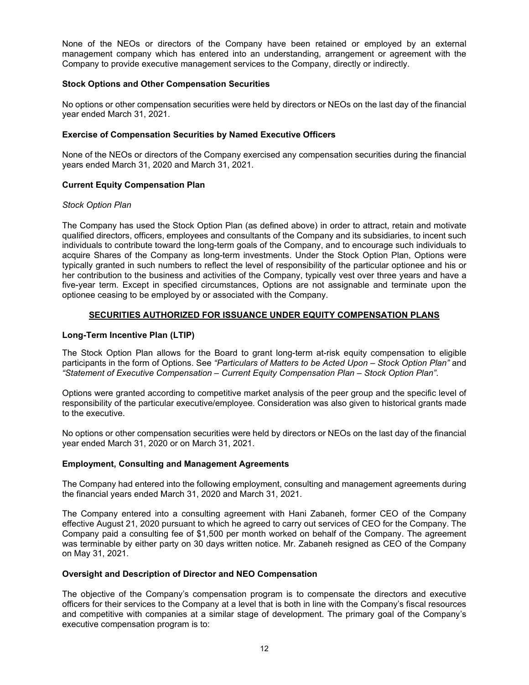None of the NEOs or directors of the Company have been retained or employed by an external management company which has entered into an understanding, arrangement or agreement with the Company to provide executive management services to the Company, directly or indirectly.

#### **Stock Options and Other Compensation Securities**

No options or other compensation securities were held by directors or NEOs on the last day of the financial year ended March 31, 2021.

#### **Exercise of Compensation Securities by Named Executive Officers**

None of the NEOs or directors of the Company exercised any compensation securities during the financial years ended March 31, 2020 and March 31, 2021.

#### **Current Equity Compensation Plan**

#### *Stock Option Plan*

The Company has used the Stock Option Plan (as defined above) in order to attract, retain and motivate qualified directors, officers, employees and consultants of the Company and its subsidiaries, to incent such individuals to contribute toward the long-term goals of the Company, and to encourage such individuals to acquire Shares of the Company as long-term investments. Under the Stock Option Plan, Options were typically granted in such numbers to reflect the level of responsibility of the particular optionee and his or her contribution to the business and activities of the Company, typically vest over three years and have a five-year term. Except in specified circumstances, Options are not assignable and terminate upon the optionee ceasing to be employed by or associated with the Company.

#### **SECURITIES AUTHORIZED FOR ISSUANCE UNDER EQUITY COMPENSATION PLANS**

#### **Long-Term Incentive Plan (LTIP)**

The Stock Option Plan allows for the Board to grant long-term at-risk equity compensation to eligible participants in the form of Options. See *"Particulars of Matters to be Acted Upon – Stock Option Plan"* and *"Statement of Executive Compensation – Current Equity Compensation Plan – Stock Option Plan"*.

Options were granted according to competitive market analysis of the peer group and the specific level of responsibility of the particular executive/employee. Consideration was also given to historical grants made to the executive.

No options or other compensation securities were held by directors or NEOs on the last day of the financial year ended March 31, 2020 or on March 31, 2021.

#### **Employment, Consulting and Management Agreements**

The Company had entered into the following employment, consulting and management agreements during the financial years ended March 31, 2020 and March 31, 2021.

The Company entered into a consulting agreement with Hani Zabaneh, former CEO of the Company effective August 21, 2020 pursuant to which he agreed to carry out services of CEO for the Company. The Company paid a consulting fee of \$1,500 per month worked on behalf of the Company. The agreement was terminable by either party on 30 days written notice. Mr. Zabaneh resigned as CEO of the Company on May 31, 2021.

#### **Oversight and Description of Director and NEO Compensation**

The objective of the Company's compensation program is to compensate the directors and executive officers for their services to the Company at a level that is both in line with the Company's fiscal resources and competitive with companies at a similar stage of development. The primary goal of the Company's executive compensation program is to: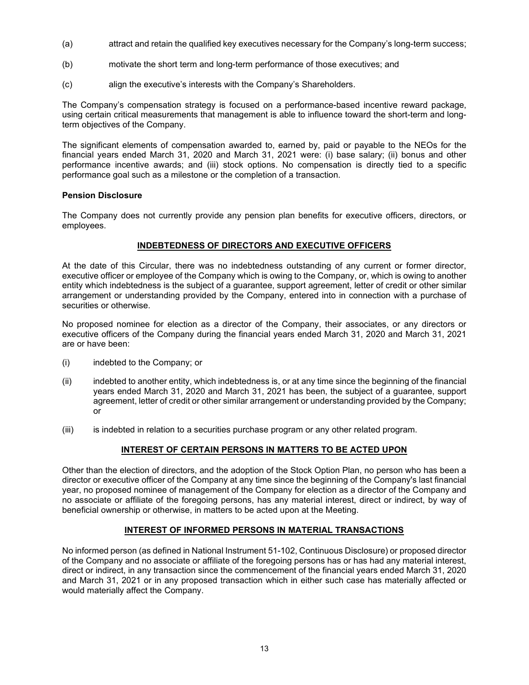- (a) attract and retain the qualified key executives necessary for the Company's long-term success;
- (b) motivate the short term and long-term performance of those executives; and
- (c) align the executive's interests with the Company's Shareholders.

The Company's compensation strategy is focused on a performance-based incentive reward package, using certain critical measurements that management is able to influence toward the short-term and longterm objectives of the Company.

The significant elements of compensation awarded to, earned by, paid or payable to the NEOs for the financial years ended March 31, 2020 and March 31, 2021 were: (i) base salary; (ii) bonus and other performance incentive awards; and (iii) stock options. No compensation is directly tied to a specific performance goal such as a milestone or the completion of a transaction.

#### **Pension Disclosure**

The Company does not currently provide any pension plan benefits for executive officers, directors, or employees.

#### **INDEBTEDNESS OF DIRECTORS AND EXECUTIVE OFFICERS**

At the date of this Circular, there was no indebtedness outstanding of any current or former director, executive officer or employee of the Company which is owing to the Company, or, which is owing to another entity which indebtedness is the subject of a guarantee, support agreement, letter of credit or other similar arrangement or understanding provided by the Company, entered into in connection with a purchase of securities or otherwise.

No proposed nominee for election as a director of the Company, their associates, or any directors or executive officers of the Company during the financial years ended March 31, 2020 and March 31, 2021 are or have been:

- (i) indebted to the Company; or
- (ii) indebted to another entity, which indebtedness is, or at any time since the beginning of the financial years ended March 31, 2020 and March 31, 2021 has been, the subject of a guarantee, support agreement, letter of credit or other similar arrangement or understanding provided by the Company; or
- (iii) is indebted in relation to a securities purchase program or any other related program.

#### **INTEREST OF CERTAIN PERSONS IN MATTERS TO BE ACTED UPON**

Other than the election of directors, and the adoption of the Stock Option Plan, no person who has been a director or executive officer of the Company at any time since the beginning of the Company's last financial year, no proposed nominee of management of the Company for election as a director of the Company and no associate or affiliate of the foregoing persons, has any material interest, direct or indirect, by way of beneficial ownership or otherwise, in matters to be acted upon at the Meeting.

#### **INTEREST OF INFORMED PERSONS IN MATERIAL TRANSACTIONS**

No informed person (as defined in National Instrument 51-102, Continuous Disclosure) or proposed director of the Company and no associate or affiliate of the foregoing persons has or has had any material interest, direct or indirect, in any transaction since the commencement of the financial years ended March 31, 2020 and March 31, 2021 or in any proposed transaction which in either such case has materially affected or would materially affect the Company.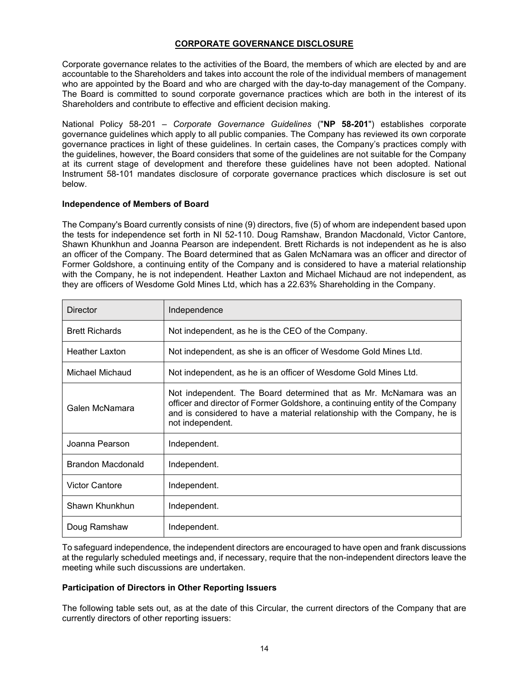#### **CORPORATE GOVERNANCE DISCLOSURE**

Corporate governance relates to the activities of the Board, the members of which are elected by and are accountable to the Shareholders and takes into account the role of the individual members of management who are appointed by the Board and who are charged with the day-to-day management of the Company. The Board is committed to sound corporate governance practices which are both in the interest of its Shareholders and contribute to effective and efficient decision making.

National Policy 58-201 – *Corporate Governance Guidelines* ("**NP 58-201**") establishes corporate governance guidelines which apply to all public companies. The Company has reviewed its own corporate governance practices in light of these guidelines. In certain cases, the Company's practices comply with the guidelines, however, the Board considers that some of the guidelines are not suitable for the Company at its current stage of development and therefore these guidelines have not been adopted. National Instrument 58-101 mandates disclosure of corporate governance practices which disclosure is set out below.

#### **Independence of Members of Board**

The Company's Board currently consists of nine (9) directors, five (5) of whom are independent based upon the tests for independence set forth in NI 52-110. Doug Ramshaw, Brandon Macdonald, Victor Cantore, Shawn Khunkhun and Joanna Pearson are independent. Brett Richards is not independent as he is also an officer of the Company. The Board determined that as Galen McNamara was an officer and director of Former Goldshore, a continuing entity of the Company and is considered to have a material relationship with the Company, he is not independent. Heather Laxton and Michael Michaud are not independent, as they are officers of Wesdome Gold Mines Ltd, which has a 22.63% Shareholding in the Company.

| <b>Director</b>       | Independence                                                                                                                                                                                                                                       |
|-----------------------|----------------------------------------------------------------------------------------------------------------------------------------------------------------------------------------------------------------------------------------------------|
| <b>Brett Richards</b> | Not independent, as he is the CEO of the Company.                                                                                                                                                                                                  |
| <b>Heather Laxton</b> | Not independent, as she is an officer of Wesdome Gold Mines Ltd.                                                                                                                                                                                   |
| Michael Michaud       | Not independent, as he is an officer of Wesdome Gold Mines Ltd.                                                                                                                                                                                    |
| Galen McNamara        | Not independent. The Board determined that as Mr. McNamara was an<br>officer and director of Former Goldshore, a continuing entity of the Company<br>and is considered to have a material relationship with the Company, he is<br>not independent. |
| Joanna Pearson        | Independent.                                                                                                                                                                                                                                       |
| Brandon Macdonald     | Independent.                                                                                                                                                                                                                                       |
| Victor Cantore        | Independent.                                                                                                                                                                                                                                       |
| Shawn Khunkhun        | Independent.                                                                                                                                                                                                                                       |
| Doug Ramshaw          | Independent.                                                                                                                                                                                                                                       |

To safeguard independence, the independent directors are encouraged to have open and frank discussions at the regularly scheduled meetings and, if necessary, require that the non-independent directors leave the meeting while such discussions are undertaken.

#### **Participation of Directors in Other Reporting Issuers**

The following table sets out, as at the date of this Circular, the current directors of the Company that are currently directors of other reporting issuers: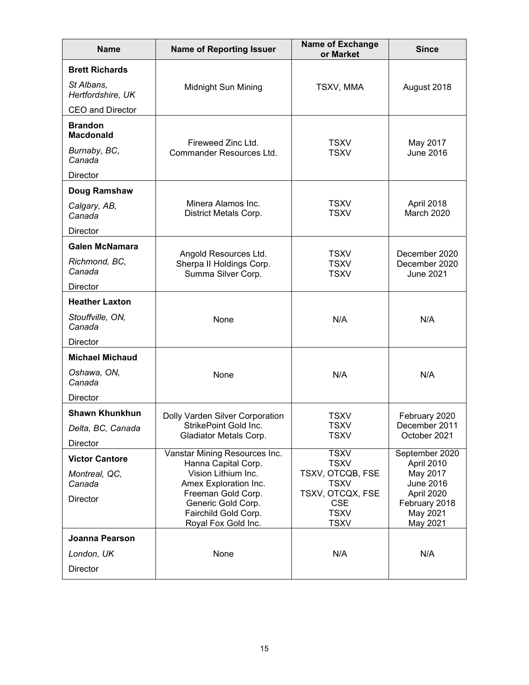| <b>Name</b>                        | <b>Name of Reporting Issuer</b>                      | <b>Name of Exchange</b><br>or Market | <b>Since</b>                      |
|------------------------------------|------------------------------------------------------|--------------------------------------|-----------------------------------|
| <b>Brett Richards</b>              |                                                      |                                      |                                   |
| St Albans,<br>Hertfordshire, UK    | Midnight Sun Mining                                  | TSXV, MMA                            | August 2018                       |
| <b>CEO and Director</b>            |                                                      |                                      |                                   |
| <b>Brandon</b><br><b>Macdonald</b> | Fireweed Zinc Ltd.                                   | <b>TSXV</b>                          | May 2017                          |
| Burnaby, BC,<br>Canada             | Commander Resources Ltd.                             | <b>TSXV</b>                          | <b>June 2016</b>                  |
| <b>Director</b>                    |                                                      |                                      |                                   |
| Doug Ramshaw                       |                                                      |                                      |                                   |
| Calgary, AB,<br>Canada             | Minera Alamos Inc.<br>District Metals Corp.          | <b>TSXV</b><br><b>TSXV</b>           | April 2018<br>March 2020          |
| <b>Director</b>                    |                                                      |                                      |                                   |
| <b>Galen McNamara</b>              | Angold Resources Ltd.                                | <b>TSXV</b>                          | December 2020                     |
| Richmond, BC,<br>Canada            | Sherpa II Holdings Corp.<br>Summa Silver Corp.       | <b>TSXV</b><br><b>TSXV</b>           | December 2020<br><b>June 2021</b> |
| <b>Director</b>                    |                                                      |                                      |                                   |
| <b>Heather Laxton</b>              |                                                      |                                      |                                   |
| Stouffville, ON,<br>Canada         | None                                                 | N/A                                  | N/A                               |
| <b>Director</b>                    |                                                      |                                      |                                   |
| <b>Michael Michaud</b>             |                                                      |                                      |                                   |
| Oshawa, ON,<br>Canada              | None                                                 | N/A                                  | N/A                               |
| Director                           |                                                      |                                      |                                   |
| <b>Shawn Khunkhun</b>              | Dolly Varden Silver Corporation                      | TSXV                                 | February 2020                     |
| Delta, BC, Canada                  | StrikePoint Gold Inc.<br>Gladiator Metals Corp.      | <b>TSXV</b><br><b>TSXV</b>           | December 2011<br>October 2021     |
| <b>Director</b>                    |                                                      |                                      |                                   |
| <b>Victor Cantore</b>              | Vanstar Mining Resources Inc.<br>Hanna Capital Corp. | <b>TSXV</b><br><b>TSXV</b>           | September 2020<br>April 2010      |
| Montreal, QC,<br>Canada            | Vision Lithium Inc.<br>Amex Exploration Inc.         | TSXV, OTCQB, FSE<br><b>TSXV</b>      | May 2017<br><b>June 2016</b>      |
| Director                           | Freeman Gold Corp.<br>Generic Gold Corp.             | TSXV, OTCQX, FSE<br><b>CSE</b>       | April 2020<br>February 2018       |
|                                    | Fairchild Gold Corp.<br>Royal Fox Gold Inc.          | <b>TSXV</b><br><b>TSXV</b>           | May 2021<br>May 2021              |
| Joanna Pearson                     |                                                      |                                      |                                   |
| London, UK                         | None                                                 | N/A                                  | N/A                               |
| Director                           |                                                      |                                      |                                   |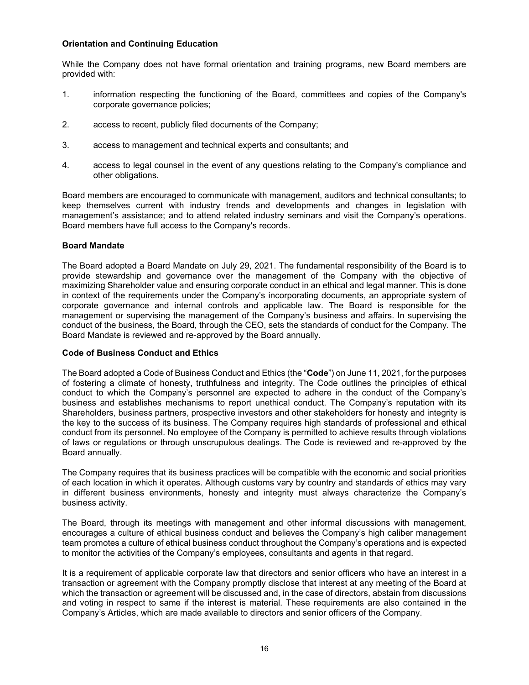#### **Orientation and Continuing Education**

While the Company does not have formal orientation and training programs, new Board members are provided with:

- 1. information respecting the functioning of the Board, committees and copies of the Company's corporate governance policies;
- 2. access to recent, publicly filed documents of the Company;
- 3. access to management and technical experts and consultants; and
- 4. access to legal counsel in the event of any questions relating to the Company's compliance and other obligations.

Board members are encouraged to communicate with management, auditors and technical consultants; to keep themselves current with industry trends and developments and changes in legislation with management's assistance; and to attend related industry seminars and visit the Company's operations. Board members have full access to the Company's records.

#### **Board Mandate**

The Board adopted a Board Mandate on July 29, 2021. The fundamental responsibility of the Board is to provide stewardship and governance over the management of the Company with the objective of maximizing Shareholder value and ensuring corporate conduct in an ethical and legal manner. This is done in context of the requirements under the Company's incorporating documents, an appropriate system of corporate governance and internal controls and applicable law. The Board is responsible for the management or supervising the management of the Company's business and affairs. In supervising the conduct of the business, the Board, through the CEO, sets the standards of conduct for the Company. The Board Mandate is reviewed and re-approved by the Board annually.

#### **Code of Business Conduct and Ethics**

The Board adopted a Code of Business Conduct and Ethics (the "**Code**") on June 11, 2021, for the purposes of fostering a climate of honesty, truthfulness and integrity. The Code outlines the principles of ethical conduct to which the Company's personnel are expected to adhere in the conduct of the Company's business and establishes mechanisms to report unethical conduct. The Company's reputation with its Shareholders, business partners, prospective investors and other stakeholders for honesty and integrity is the key to the success of its business. The Company requires high standards of professional and ethical conduct from its personnel. No employee of the Company is permitted to achieve results through violations of laws or regulations or through unscrupulous dealings. The Code is reviewed and re-approved by the Board annually.

The Company requires that its business practices will be compatible with the economic and social priorities of each location in which it operates. Although customs vary by country and standards of ethics may vary in different business environments, honesty and integrity must always characterize the Company's business activity.

The Board, through its meetings with management and other informal discussions with management, encourages a culture of ethical business conduct and believes the Company's high caliber management team promotes a culture of ethical business conduct throughout the Company's operations and is expected to monitor the activities of the Company's employees, consultants and agents in that regard.

It is a requirement of applicable corporate law that directors and senior officers who have an interest in a transaction or agreement with the Company promptly disclose that interest at any meeting of the Board at which the transaction or agreement will be discussed and, in the case of directors, abstain from discussions and voting in respect to same if the interest is material. These requirements are also contained in the Company's Articles, which are made available to directors and senior officers of the Company.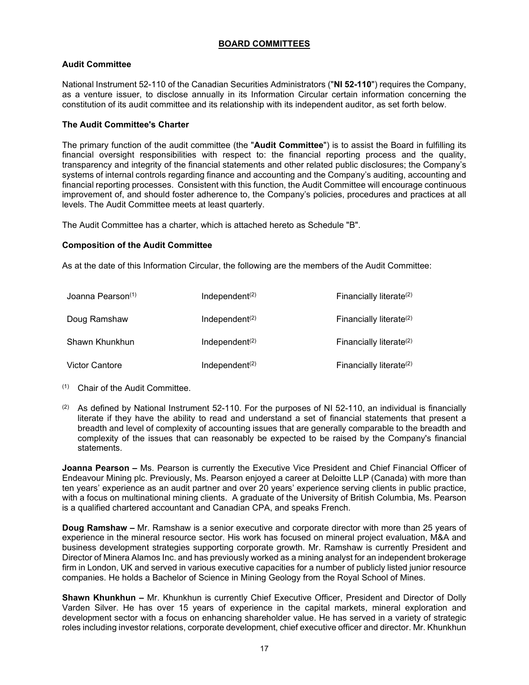#### **BOARD COMMITTEES**

#### **Audit Committee**

National Instrument 52-110 of the Canadian Securities Administrators ("**NI 52-110**") requires the Company, as a venture issuer, to disclose annually in its Information Circular certain information concerning the constitution of its audit committee and its relationship with its independent auditor, as set forth below.

#### **The Audit Committee's Charter**

The primary function of the audit committee (the "**Audit Committee**") is to assist the Board in fulfilling its financial oversight responsibilities with respect to: the financial reporting process and the quality, transparency and integrity of the financial statements and other related public disclosures; the Company's systems of internal controls regarding finance and accounting and the Company's auditing, accounting and financial reporting processes. Consistent with this function, the Audit Committee will encourage continuous improvement of, and should foster adherence to, the Company's policies, procedures and practices at all levels. The Audit Committee meets at least quarterly.

The Audit Committee has a charter, which is attached hereto as Schedule "B".

#### **Composition of the Audit Committee**

As at the date of this Information Circular, the following are the members of the Audit Committee:

| Joanna Pearson <sup>(1)</sup> | Independent <sup>(2)</sup>              | Financially literate $(2)$ |
|-------------------------------|-----------------------------------------|----------------------------|
| Doug Ramshaw                  | Independent <sup>(2)</sup>              | Financially literate $(2)$ |
| Shawn Khunkhun                | Independent <sup><math>(2)</math></sup> | Financially literate $(2)$ |
| <b>Victor Cantore</b>         | Independent $(2)$                       | Financially literate $(2)$ |

- (1) Chair of the Audit Committee.
- (2) As defined by National Instrument 52-110. For the purposes of NI 52-110, an individual is financially literate if they have the ability to read and understand a set of financial statements that present a breadth and level of complexity of accounting issues that are generally comparable to the breadth and complexity of the issues that can reasonably be expected to be raised by the Company's financial statements.

**Joanna Pearson –** Ms. Pearson is currently the Executive Vice President and Chief Financial Officer of Endeavour Mining plc. Previously, Ms. Pearson enjoyed a career at Deloitte LLP (Canada) with more than ten years' experience as an audit partner and over 20 years' experience serving clients in public practice, with a focus on multinational mining clients. A graduate of the University of British Columbia, Ms. Pearson is a qualified chartered accountant and Canadian CPA, and speaks French.

**Doug Ramshaw –** Mr. Ramshaw is a senior executive and corporate director with more than 25 years of experience in the mineral resource sector. His work has focused on mineral project evaluation, M&A and business development strategies supporting corporate growth. Mr. Ramshaw is currently President and Director of Minera Alamos Inc. and has previously worked as a mining analyst for an independent brokerage firm in London, UK and served in various executive capacities for a number of publicly listed junior resource companies. He holds a Bachelor of Science in Mining Geology from the Royal School of Mines.

**Shawn Khunkhun –** Mr. Khunkhun is currently Chief Executive Officer, President and Director of Dolly Varden Silver. He has over 15 years of experience in the capital markets, mineral exploration and development sector with a focus on enhancing shareholder value. He has served in a variety of strategic roles including investor relations, corporate development, chief executive officer and director. Mr. Khunkhun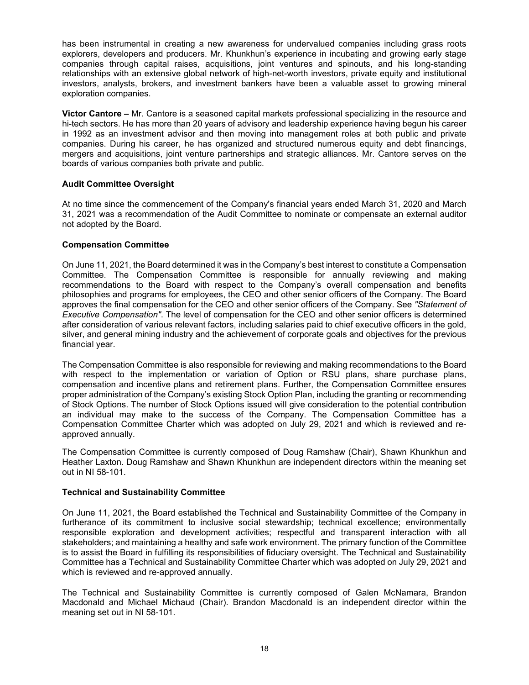has been instrumental in creating a new awareness for undervalued companies including grass roots explorers, developers and producers. Mr. Khunkhun's experience in incubating and growing early stage companies through capital raises, acquisitions, joint ventures and spinouts, and his long-standing relationships with an extensive global network of high-net-worth investors, private equity and institutional investors, analysts, brokers, and investment bankers have been a valuable asset to growing mineral exploration companies.

**Victor Cantore –** Mr. Cantore is a seasoned capital markets professional specializing in the resource and hi-tech sectors. He has more than 20 years of advisory and leadership experience having begun his career in 1992 as an investment advisor and then moving into management roles at both public and private companies. During his career, he has organized and structured numerous equity and debt financings, mergers and acquisitions, joint venture partnerships and strategic alliances. Mr. Cantore serves on the boards of various companies both private and public.

#### **Audit Committee Oversight**

At no time since the commencement of the Company's financial years ended March 31, 2020 and March 31, 2021 was a recommendation of the Audit Committee to nominate or compensate an external auditor not adopted by the Board.

#### **Compensation Committee**

On June 11, 2021, the Board determined it was in the Company's best interest to constitute a Compensation Committee. The Compensation Committee is responsible for annually reviewing and making recommendations to the Board with respect to the Company's overall compensation and benefits philosophies and programs for employees, the CEO and other senior officers of the Company. The Board approves the final compensation for the CEO and other senior officers of the Company. See *"Statement of Executive Compensation"*. The level of compensation for the CEO and other senior officers is determined after consideration of various relevant factors, including salaries paid to chief executive officers in the gold, silver, and general mining industry and the achievement of corporate goals and objectives for the previous financial year.

The Compensation Committee is also responsible for reviewing and making recommendations to the Board with respect to the implementation or variation of Option or RSU plans, share purchase plans, compensation and incentive plans and retirement plans. Further, the Compensation Committee ensures proper administration of the Company's existing Stock Option Plan, including the granting or recommending of Stock Options. The number of Stock Options issued will give consideration to the potential contribution an individual may make to the success of the Company. The Compensation Committee has a Compensation Committee Charter which was adopted on July 29, 2021 and which is reviewed and reapproved annually.

The Compensation Committee is currently composed of Doug Ramshaw (Chair), Shawn Khunkhun and Heather Laxton. Doug Ramshaw and Shawn Khunkhun are independent directors within the meaning set out in NI 58-101.

#### **Technical and Sustainability Committee**

On June 11, 2021, the Board established the Technical and Sustainability Committee of the Company in furtherance of its commitment to inclusive social stewardship; technical excellence; environmentally responsible exploration and development activities; respectful and transparent interaction with all stakeholders; and maintaining a healthy and safe work environment. The primary function of the Committee is to assist the Board in fulfilling its responsibilities of fiduciary oversight. The Technical and Sustainability Committee has a Technical and Sustainability Committee Charter which was adopted on July 29, 2021 and which is reviewed and re-approved annually.

The Technical and Sustainability Committee is currently composed of Galen McNamara, Brandon Macdonald and Michael Michaud (Chair). Brandon Macdonald is an independent director within the meaning set out in NI 58-101.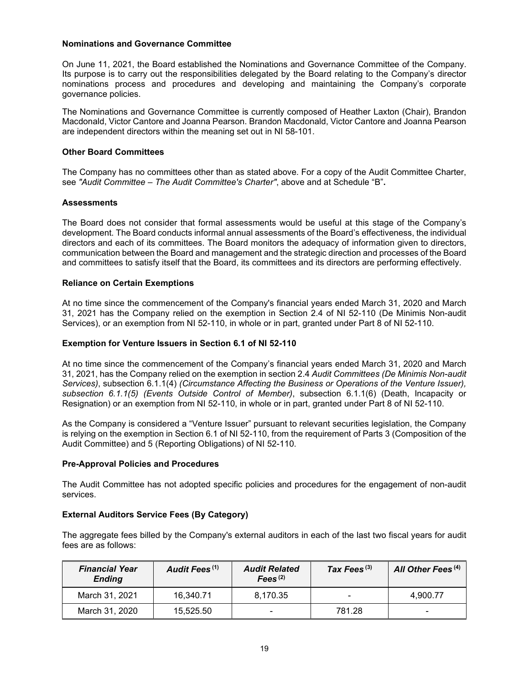#### **Nominations and Governance Committee**

On June 11, 2021, the Board established the Nominations and Governance Committee of the Company. Its purpose is to carry out the responsibilities delegated by the Board relating to the Company's director nominations process and procedures and developing and maintaining the Company's corporate governance policies.

The Nominations and Governance Committee is currently composed of Heather Laxton (Chair), Brandon Macdonald, Victor Cantore and Joanna Pearson. Brandon Macdonald, Victor Cantore and Joanna Pearson are independent directors within the meaning set out in NI 58-101.

#### **Other Board Committees**

The Company has no committees other than as stated above. For a copy of the Audit Committee Charter, see *"Audit Committee – The Audit Committee's Charter"*, above and at Schedule "B"**.** 

#### **Assessments**

The Board does not consider that formal assessments would be useful at this stage of the Company's development. The Board conducts informal annual assessments of the Board's effectiveness, the individual directors and each of its committees. The Board monitors the adequacy of information given to directors, communication between the Board and management and the strategic direction and processes of the Board and committees to satisfy itself that the Board, its committees and its directors are performing effectively.

#### **Reliance on Certain Exemptions**

At no time since the commencement of the Company's financial years ended March 31, 2020 and March 31, 2021 has the Company relied on the exemption in Section 2.4 of NI 52-110 (De Minimis Non-audit Services), or an exemption from NI 52-110, in whole or in part, granted under Part 8 of NI 52-110.

#### **Exemption for Venture Issuers in Section 6.1 of NI 52-110**

At no time since the commencement of the Company's financial years ended March 31, 2020 and March 31, 2021, has the Company relied on the exemption in section 2.4 *Audit Committees (De Minimis Non-audit Services)*, subsection 6.1.1(4) *(Circumstance Affecting the Business or Operations of the Venture Issuer), subsection 6.1.1(5) (Events Outside Control of Member)*, subsection 6.1.1(6) (Death, Incapacity or Resignation) or an exemption from NI 52-110, in whole or in part, granted under Part 8 of NI 52-110.

As the Company is considered a "Venture Issuer" pursuant to relevant securities legislation, the Company is relying on the exemption in Section 6.1 of NI 52-110, from the requirement of Parts 3 (Composition of the Audit Committee) and 5 (Reporting Obligations) of NI 52-110.

#### **Pre-Approval Policies and Procedures**

The Audit Committee has not adopted specific policies and procedures for the engagement of non-audit services.

#### **External Auditors Service Fees (By Category)**

The aggregate fees billed by the Company's external auditors in each of the last two fiscal years for audit fees are as follows:

| <b>Financial Year</b><br><b>Ending</b> | Audit Fees <sup>(1)</sup> | <b>Audit Related</b><br>Fees $(2)$ | Tax Fees $^{(3)}$ | All Other Fees <sup>(4)</sup> |
|----------------------------------------|---------------------------|------------------------------------|-------------------|-------------------------------|
| March 31, 2021                         | 16,340.71                 | 8.170.35                           |                   | 4.900.77                      |
| March 31, 2020                         | 15.525.50                 | $\overline{\phantom{0}}$           | 781.28            | $\overline{\phantom{0}}$      |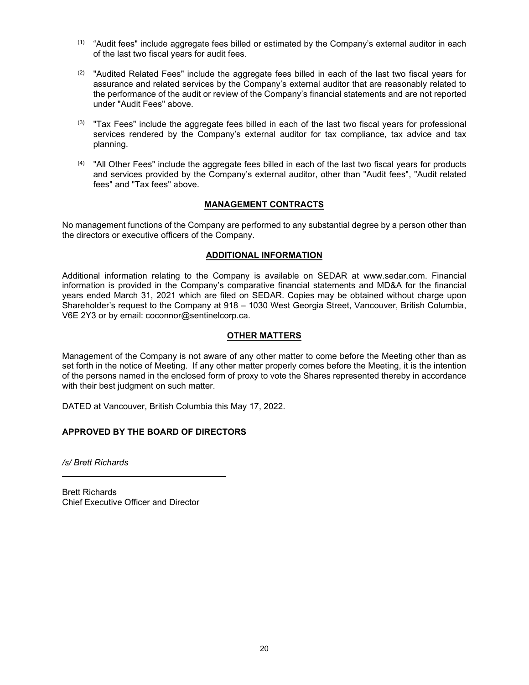- $<sup>(1)</sup>$  "Audit fees" include aggregate fees billed or estimated by the Company's external auditor in each</sup> of the last two fiscal years for audit fees.
- $(2)$  "Audited Related Fees" include the aggregate fees billed in each of the last two fiscal years for assurance and related services by the Company's external auditor that are reasonably related to the performance of the audit or review of the Company's financial statements and are not reported under "Audit Fees" above.
- (3) "Tax Fees" include the aggregate fees billed in each of the last two fiscal years for professional services rendered by the Company's external auditor for tax compliance, tax advice and tax planning.
- $<sup>(4)</sup>$  "All Other Fees" include the aggregate fees billed in each of the last two fiscal years for products</sup> and services provided by the Company's external auditor, other than "Audit fees", "Audit related fees" and "Tax fees" above.

#### **MANAGEMENT CONTRACTS**

No management functions of the Company are performed to any substantial degree by a person other than the directors or executive officers of the Company.

#### **ADDITIONAL INFORMATION**

Additional information relating to the Company is available on SEDAR at www.sedar.com. Financial information is provided in the Company's comparative financial statements and MD&A for the financial years ended March 31, 2021 which are filed on SEDAR. Copies may be obtained without charge upon Shareholder's request to the Company at 918 – 1030 West Georgia Street, Vancouver, British Columbia, V6E 2Y3 or by email: coconnor@sentinelcorp.ca.

#### **OTHER MATTERS**

Management of the Company is not aware of any other matter to come before the Meeting other than as set forth in the notice of Meeting. If any other matter properly comes before the Meeting, it is the intention of the persons named in the enclosed form of proxy to vote the Shares represented thereby in accordance with their best judgment on such matter.

DATED at Vancouver, British Columbia this May 17, 2022.

#### **APPROVED BY THE BOARD OF DIRECTORS**

*/s/ Brett Richards*

Brett Richards Chief Executive Officer and Director

 $\mathcal{L}=\{1,2,3,4,5\}$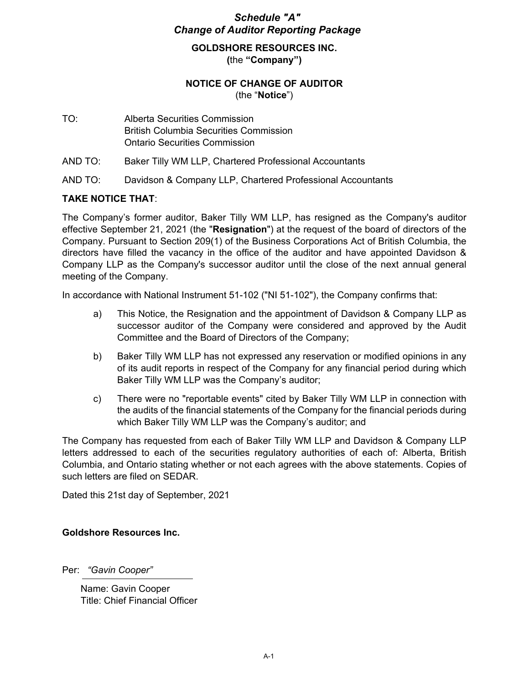# *Schedule "A" Change of Auditor Reporting Package*

**GOLDSHORE RESOURCES INC. (**the **"Company")**

# **NOTICE OF CHANGE OF AUDITOR** (the "**Notice**")

- TO: Alberta Securities Commission British Columbia Securities Commission Ontario Securities Commission
- AND TO: Baker Tilly WM LLP, Chartered Professional Accountants
- AND TO: Davidson & Company LLP, Chartered Professional Accountants

#### **TAKE NOTICE THAT**:

The Company's former auditor, Baker Tilly WM LLP, has resigned as the Company's auditor effective September 21, 2021 (the "**Resignation**") at the request of the board of directors of the Company. Pursuant to Section 209(1) of the Business Corporations Act of British Columbia, the directors have filled the vacancy in the office of the auditor and have appointed Davidson & Company LLP as the Company's successor auditor until the close of the next annual general meeting of the Company.

In accordance with National Instrument 51-102 ("NI 51-102"), the Company confirms that:

- a) This Notice, the Resignation and the appointment of Davidson & Company LLP as successor auditor of the Company were considered and approved by the Audit Committee and the Board of Directors of the Company;
- b) Baker Tilly WM LLP has not expressed any reservation or modified opinions in any of its audit reports in respect of the Company for any financial period during which Baker Tilly WM LLP was the Company's auditor;
- c) There were no "reportable events" cited by Baker Tilly WM LLP in connection with the audits of the financial statements of the Company for the financial periods during which Baker Tilly WM LLP was the Company's auditor; and

The Company has requested from each of Baker Tilly WM LLP and Davidson & Company LLP letters addressed to each of the securities regulatory authorities of each of: Alberta, British Columbia, and Ontario stating whether or not each agrees with the above statements. Copies of such letters are filed on SEDAR.

Dated this 21st day of September, 2021

#### **Goldshore Resources Inc.**

Per: *"Gavin Cooper"* 

 Name: Gavin Cooper Title: Chief Financial Officer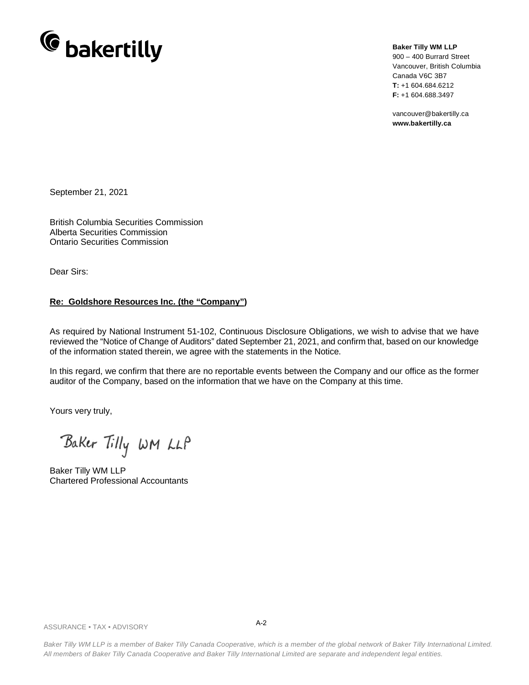

**Baker Tilly WM LLP**

900 – 400 Burrard Street Vancouver, British Columbia Canada V6C 3B7 **T:** +1 604.684.6212 **F:** +1 604.688.3497

vancouver@bakertilly.ca **www.bakertilly.ca**

September 21, 2021

British Columbia Securities Commission Alberta Securities Commission Ontario Securities Commission

Dear Sirs:

#### **Re: Goldshore Resources Inc. (the "Company")**

As required by National Instrument 51-102, Continuous Disclosure Obligations, we wish to advise that we have reviewed the "Notice of Change of Auditors" dated September 21, 2021, and confirm that, based on our knowledge of the information stated therein, we agree with the statements in the Notice.

In this regard, we confirm that there are no reportable events between the Company and our office as the former auditor of the Company, based on the information that we have on the Company at this time.

Yours very truly,

Baker Tilly WM LLP

Baker Tilly WM LLP Chartered Professional Accountants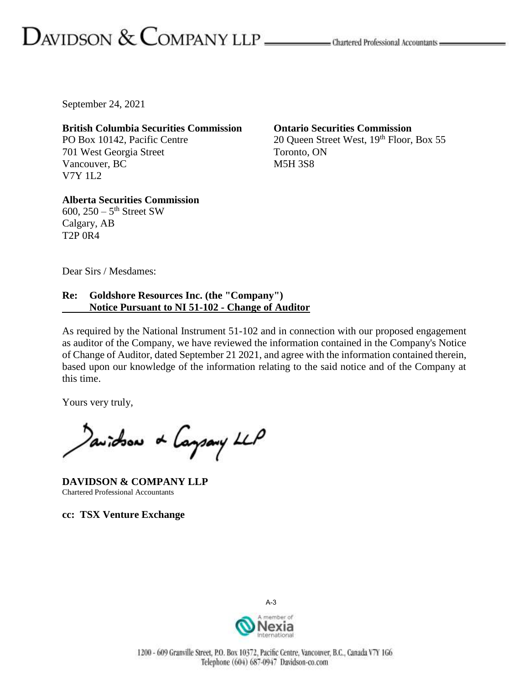# $D_{\text{AVIDSON}} \&$   $\text{COMPANY LLP}$   $\_\_\_\_\_\_\$ Chartered Professional Accountants  $\_\_\_\$

September 24, 2021

**British Columbia Securities Commission** PO Box 10142, Pacific Centre 701 West Georgia Street Vancouver, BC V7Y 1L2

**Ontario Securities Commission** 20 Queen Street West, 19th Floor, Box 55 Toronto, ON M5H 3S8

**Alberta Securities Commission**  $600, 250 - 5$ <sup>th</sup> Street SW Calgary, AB T2P 0R4

Dear Sirs / Mesdames:

#### **Re: Goldshore Resources Inc. (the "Company") Notice Pursuant to NI 51-102 - Change of Auditor**

As required by the National Instrument 51-102 and in connection with our proposed engagement as auditor of the Company, we have reviewed the information contained in the Company's Notice of Change of Auditor, dated September 21 2021, and agree with the information contained therein, based upon our knowledge of the information relating to the said notice and of the Company at this time.

Yours very truly,

Davidson & Caysary LLP

**DAVIDSON & COMPANY LLP** Chartered Professional Accountants

**cc: TSX Venture Exchange**



A-3

1200 - 609 Granville Street, P.O. Box 10372, Pacific Centre, Vancouver, B.C., Canada V7Y 1G6 Telephone (604) 687-0947 Davidson-co.com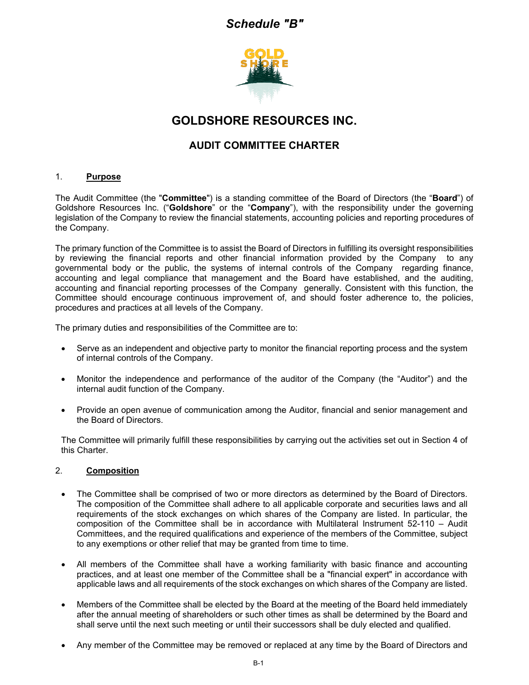# *Schedule "B"*



# **GOLDSHORE RESOURCES INC.**

# **AUDIT COMMITTEE CHARTER**

#### 1. **Purpose**

The Audit Committee (the "**Committee**") is a standing committee of the Board of Directors (the "**Board**") of Goldshore Resources Inc. ("**Goldshore**" or the "**Company**"), with the responsibility under the governing legislation of the Company to review the financial statements, accounting policies and reporting procedures of the Company.

The primary function of the Committee is to assist the Board of Directors in fulfilling its oversight responsibilities by reviewing the financial reports and other financial information provided by the Company to any governmental body or the public, the systems of internal controls of the Company regarding finance, accounting and legal compliance that management and the Board have established, and the auditing, accounting and financial reporting processes of the Company generally. Consistent with this function, the Committee should encourage continuous improvement of, and should foster adherence to, the policies, procedures and practices at all levels of the Company.

The primary duties and responsibilities of the Committee are to:

- Serve as an independent and objective party to monitor the financial reporting process and the system of internal controls of the Company.
- Monitor the independence and performance of the auditor of the Company (the "Auditor") and the internal audit function of the Company.
- Provide an open avenue of communication among the Auditor, financial and senior management and the Board of Directors.

The Committee will primarily fulfill these responsibilities by carrying out the activities set out in Section 4 of this Charter.

#### 2. **Composition**

- The Committee shall be comprised of two or more directors as determined by the Board of Directors. The composition of the Committee shall adhere to all applicable corporate and securities laws and all requirements of the stock exchanges on which shares of the Company are listed. In particular, the composition of the Committee shall be in accordance with Multilateral Instrument 52-110 – Audit Committees, and the required qualifications and experience of the members of the Committee, subject to any exemptions or other relief that may be granted from time to time.
- All members of the Committee shall have a working familiarity with basic finance and accounting practices, and at least one member of the Committee shall be a "financial expert" in accordance with applicable laws and all requirements of the stock exchanges on which shares of the Company are listed.
- Members of the Committee shall be elected by the Board at the meeting of the Board held immediately after the annual meeting of shareholders or such other times as shall be determined by the Board and shall serve until the next such meeting or until their successors shall be duly elected and qualified.
- Any member of the Committee may be removed or replaced at any time by the Board of Directors and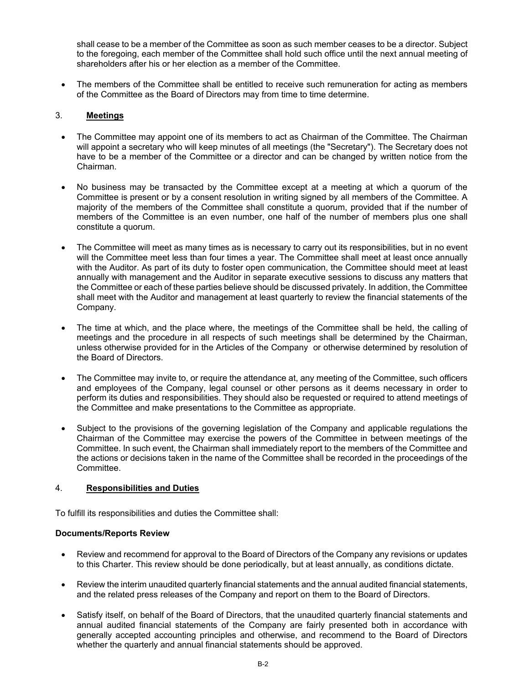shall cease to be a member of the Committee as soon as such member ceases to be a director. Subject to the foregoing, each member of the Committee shall hold such office until the next annual meeting of shareholders after his or her election as a member of the Committee.

The members of the Committee shall be entitled to receive such remuneration for acting as members of the Committee as the Board of Directors may from time to time determine.

#### 3. **Meetings**

- The Committee may appoint one of its members to act as Chairman of the Committee. The Chairman will appoint a secretary who will keep minutes of all meetings (the "Secretary"). The Secretary does not have to be a member of the Committee or a director and can be changed by written notice from the Chairman.
- No business may be transacted by the Committee except at a meeting at which a quorum of the Committee is present or by a consent resolution in writing signed by all members of the Committee. A majority of the members of the Committee shall constitute a quorum, provided that if the number of members of the Committee is an even number, one half of the number of members plus one shall constitute a quorum.
- The Committee will meet as many times as is necessary to carry out its responsibilities, but in no event will the Committee meet less than four times a year. The Committee shall meet at least once annually with the Auditor. As part of its duty to foster open communication, the Committee should meet at least annually with management and the Auditor in separate executive sessions to discuss any matters that the Committee or each of these parties believe should be discussed privately. In addition, the Committee shall meet with the Auditor and management at least quarterly to review the financial statements of the Company.
- The time at which, and the place where, the meetings of the Committee shall be held, the calling of meetings and the procedure in all respects of such meetings shall be determined by the Chairman, unless otherwise provided for in the Articles of the Company or otherwise determined by resolution of the Board of Directors.
- The Committee may invite to, or require the attendance at, any meeting of the Committee, such officers and employees of the Company, legal counsel or other persons as it deems necessary in order to perform its duties and responsibilities. They should also be requested or required to attend meetings of the Committee and make presentations to the Committee as appropriate.
- Subject to the provisions of the governing legislation of the Company and applicable regulations the Chairman of the Committee may exercise the powers of the Committee in between meetings of the Committee. In such event, the Chairman shall immediately report to the members of the Committee and the actions or decisions taken in the name of the Committee shall be recorded in the proceedings of the Committee.

#### 4. **Responsibilities and Duties**

To fulfill its responsibilities and duties the Committee shall:

#### **Documents/Reports Review**

- Review and recommend for approval to the Board of Directors of the Company any revisions or updates to this Charter. This review should be done periodically, but at least annually, as conditions dictate.
- Review the interim unaudited quarterly financial statements and the annual audited financial statements, and the related press releases of the Company and report on them to the Board of Directors.
- Satisfy itself, on behalf of the Board of Directors, that the unaudited quarterly financial statements and annual audited financial statements of the Company are fairly presented both in accordance with generally accepted accounting principles and otherwise, and recommend to the Board of Directors whether the quarterly and annual financial statements should be approved.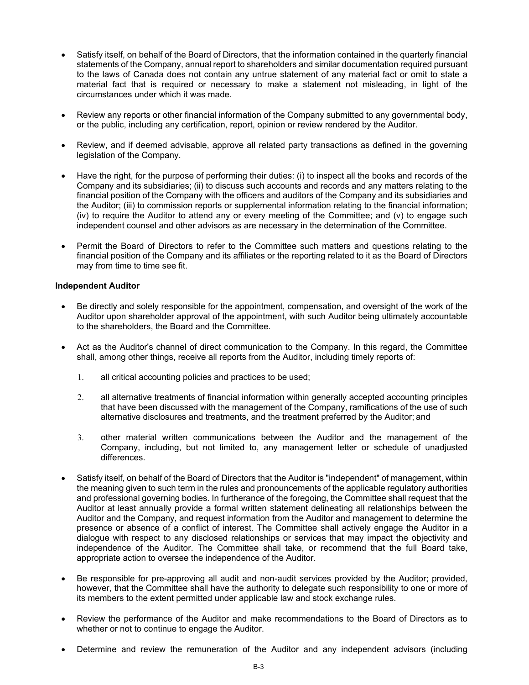- Satisfy itself, on behalf of the Board of Directors, that the information contained in the quarterly financial statements of the Company, annual report to shareholders and similar documentation required pursuant to the laws of Canada does not contain any untrue statement of any material fact or omit to state a material fact that is required or necessary to make a statement not misleading, in light of the circumstances under which it was made.
- Review any reports or other financial information of the Company submitted to any governmental body, or the public, including any certification, report, opinion or review rendered by the Auditor.
- Review, and if deemed advisable, approve all related party transactions as defined in the governing legislation of the Company.
- Have the right, for the purpose of performing their duties: (i) to inspect all the books and records of the Company and its subsidiaries; (ii) to discuss such accounts and records and any matters relating to the financial position of the Company with the officers and auditors of the Company and its subsidiaries and the Auditor; (iii) to commission reports or supplemental information relating to the financial information; (iv) to require the Auditor to attend any or every meeting of the Committee; and (v) to engage such independent counsel and other advisors as are necessary in the determination of the Committee.
- Permit the Board of Directors to refer to the Committee such matters and questions relating to the financial position of the Company and its affiliates or the reporting related to it as the Board of Directors may from time to time see fit.

#### **Independent Auditor**

- Be directly and solely responsible for the appointment, compensation, and oversight of the work of the Auditor upon shareholder approval of the appointment, with such Auditor being ultimately accountable to the shareholders, the Board and the Committee.
- Act as the Auditor's channel of direct communication to the Company. In this regard, the Committee shall, among other things, receive all reports from the Auditor, including timely reports of:
	- 1. all critical accounting policies and practices to be used;
	- 2. all alternative treatments of financial information within generally accepted accounting principles that have been discussed with the management of the Company, ramifications of the use of such alternative disclosures and treatments, and the treatment preferred by the Auditor; and
	- 3. other material written communications between the Auditor and the management of the Company, including, but not limited to, any management letter or schedule of unadjusted differences.
- Satisfy itself, on behalf of the Board of Directors that the Auditor is "independent" of management, within the meaning given to such term in the rules and pronouncements of the applicable regulatory authorities and professional governing bodies. In furtherance of the foregoing, the Committee shall request that the Auditor at least annually provide a formal written statement delineating all relationships between the Auditor and the Company, and request information from the Auditor and management to determine the presence or absence of a conflict of interest. The Committee shall actively engage the Auditor in a dialogue with respect to any disclosed relationships or services that may impact the objectivity and independence of the Auditor. The Committee shall take, or recommend that the full Board take, appropriate action to oversee the independence of the Auditor.
- Be responsible for pre-approving all audit and non-audit services provided by the Auditor; provided, however, that the Committee shall have the authority to delegate such responsibility to one or more of its members to the extent permitted under applicable law and stock exchange rules.
- Review the performance of the Auditor and make recommendations to the Board of Directors as to whether or not to continue to engage the Auditor.
- Determine and review the remuneration of the Auditor and any independent advisors (including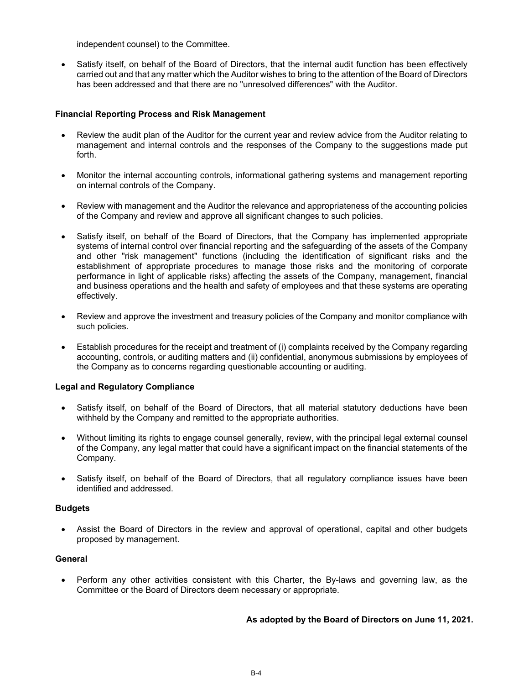independent counsel) to the Committee.

• Satisfy itself, on behalf of the Board of Directors, that the internal audit function has been effectively carried out and that any matter which the Auditor wishes to bring to the attention of the Board of Directors has been addressed and that there are no "unresolved differences" with the Auditor.

#### **Financial Reporting Process and Risk Management**

- Review the audit plan of the Auditor for the current year and review advice from the Auditor relating to management and internal controls and the responses of the Company to the suggestions made put forth.
- Monitor the internal accounting controls, informational gathering systems and management reporting on internal controls of the Company.
- Review with management and the Auditor the relevance and appropriateness of the accounting policies of the Company and review and approve all significant changes to such policies.
- Satisfy itself, on behalf of the Board of Directors, that the Company has implemented appropriate systems of internal control over financial reporting and the safeguarding of the assets of the Company and other "risk management" functions (including the identification of significant risks and the establishment of appropriate procedures to manage those risks and the monitoring of corporate performance in light of applicable risks) affecting the assets of the Company, management, financial and business operations and the health and safety of employees and that these systems are operating effectively.
- Review and approve the investment and treasury policies of the Company and monitor compliance with such policies.
- Establish procedures for the receipt and treatment of (i) complaints received by the Company regarding accounting, controls, or auditing matters and (ii) confidential, anonymous submissions by employees of the Company as to concerns regarding questionable accounting or auditing.

#### **Legal and Regulatory Compliance**

- Satisfy itself, on behalf of the Board of Directors, that all material statutory deductions have been withheld by the Company and remitted to the appropriate authorities.
- Without limiting its rights to engage counsel generally, review, with the principal legal external counsel of the Company, any legal matter that could have a significant impact on the financial statements of the Company.
- Satisfy itself, on behalf of the Board of Directors, that all regulatory compliance issues have been identified and addressed.

#### **Budgets**

Assist the Board of Directors in the review and approval of operational, capital and other budgets proposed by management.

#### **General**

• Perform any other activities consistent with this Charter, the By-laws and governing law, as the Committee or the Board of Directors deem necessary or appropriate.

#### **As adopted by the Board of Directors on June 11, 2021.**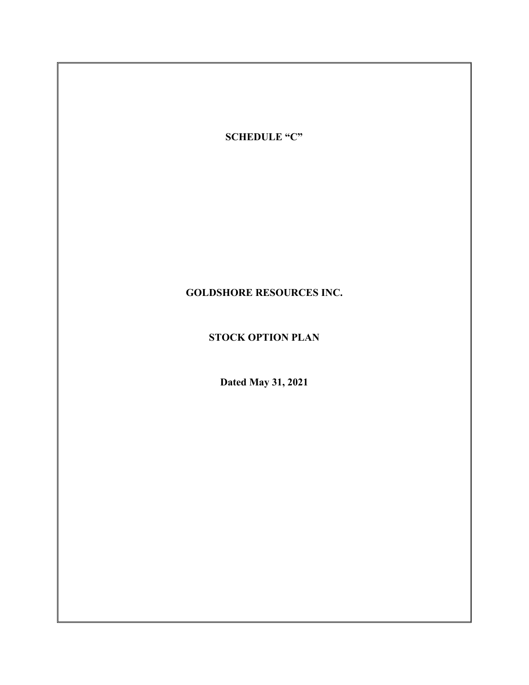

# **GOLDSHORE RESOURCES INC.**

# **STOCK OPTION PLAN**

**Dated May 31, 2021**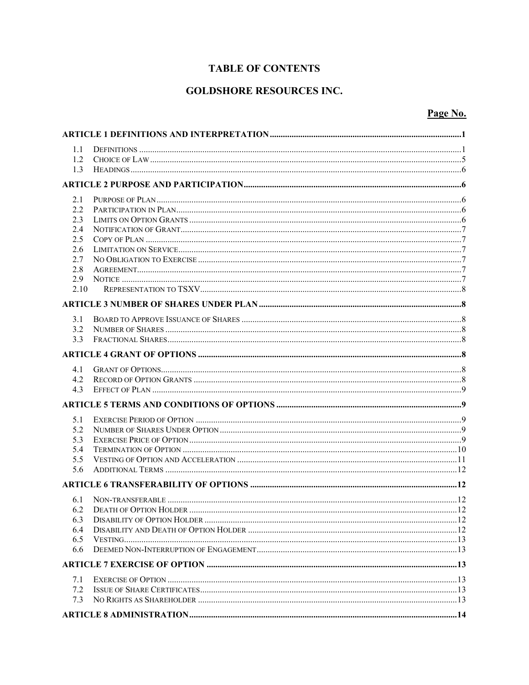# **TABLE OF CONTENTS**

# **GOLDSHORE RESOURCES INC.**

# Page No.

| 1.1  |  |  |  |
|------|--|--|--|
| 1.2  |  |  |  |
| 1.3  |  |  |  |
|      |  |  |  |
| 2.1  |  |  |  |
| 2.2  |  |  |  |
| 2.3  |  |  |  |
| 2.4  |  |  |  |
| 2.5  |  |  |  |
| 2.6  |  |  |  |
| 2.7  |  |  |  |
| 2.8  |  |  |  |
| 2.9  |  |  |  |
| 2.10 |  |  |  |
|      |  |  |  |
| 3.1  |  |  |  |
| 3.2  |  |  |  |
| 3.3  |  |  |  |
|      |  |  |  |
| 4.1  |  |  |  |
| 4.2  |  |  |  |
| 4.3  |  |  |  |
|      |  |  |  |
| 5.1  |  |  |  |
| 5.2  |  |  |  |
| 5.3  |  |  |  |
| 5.4  |  |  |  |
| 5.5  |  |  |  |
| 5.6  |  |  |  |
|      |  |  |  |
| 6.1  |  |  |  |
| 6.2  |  |  |  |
| 6.3  |  |  |  |
| 6.4  |  |  |  |
| 6.5  |  |  |  |
| 6.6  |  |  |  |
|      |  |  |  |
| 7.1  |  |  |  |
| 7.2  |  |  |  |
| 7.3  |  |  |  |
|      |  |  |  |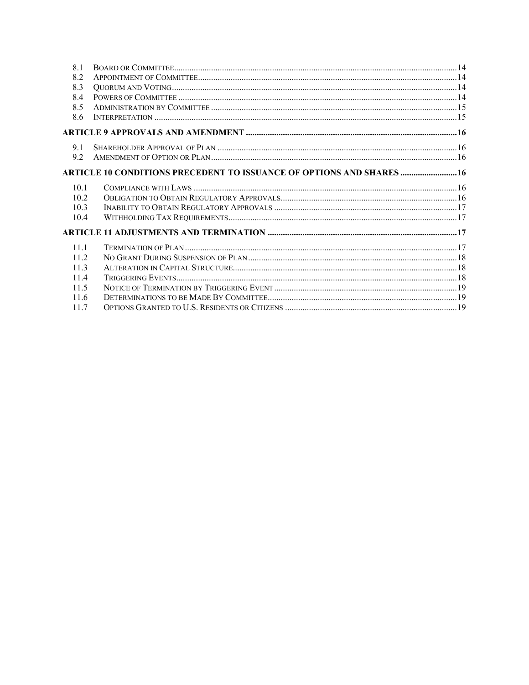| 8.1  |                                                                              |  |
|------|------------------------------------------------------------------------------|--|
| 8.2  |                                                                              |  |
| 8.3  |                                                                              |  |
| 8.4  |                                                                              |  |
| 8.5  |                                                                              |  |
| 8.6  |                                                                              |  |
|      |                                                                              |  |
| 9.1  |                                                                              |  |
| 9.2  |                                                                              |  |
|      | <b>ARTICLE 10 CONDITIONS PRECEDENT TO ISSUANCE OF OPTIONS AND SHARES  16</b> |  |
| 10.1 |                                                                              |  |
| 10.2 |                                                                              |  |
| 10.3 |                                                                              |  |
| 10.4 |                                                                              |  |
|      |                                                                              |  |
| 11.1 |                                                                              |  |
| 11.2 |                                                                              |  |
| 11.3 |                                                                              |  |
| 11.4 |                                                                              |  |
| 11.5 |                                                                              |  |
| 11.6 |                                                                              |  |
| 11.7 |                                                                              |  |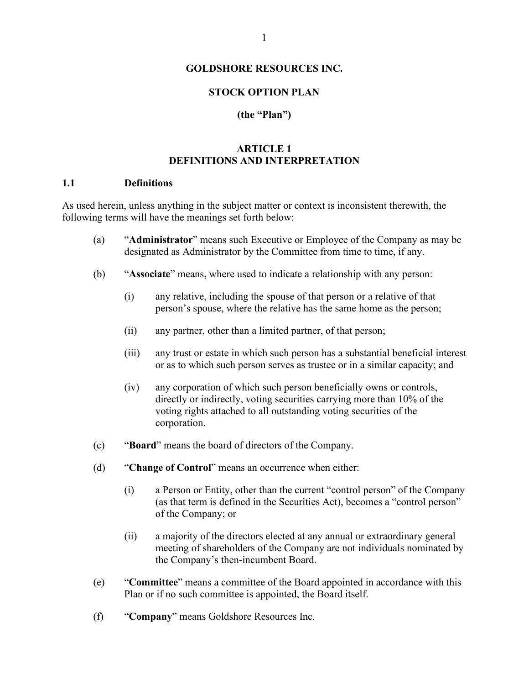#### **GOLDSHORE RESOURCES INC.**

#### **STOCK OPTION PLAN**

#### **(the "Plan")**

#### **ARTICLE 1 DEFINITIONS AND INTERPRETATION**

#### <span id="page-33-1"></span><span id="page-33-0"></span>**1.1 Definitions**

As used herein, unless anything in the subject matter or context is inconsistent therewith, the following terms will have the meanings set forth below:

- (a) "**Administrator**" means such Executive or Employee of the Company as may be designated as Administrator by the Committee from time to time, if any.
- (b) "**Associate**" means, where used to indicate a relationship with any person:
	- (i) any relative, including the spouse of that person or a relative of that person's spouse, where the relative has the same home as the person;
	- (ii) any partner, other than a limited partner, of that person;
	- (iii) any trust or estate in which such person has a substantial beneficial interest or as to which such person serves as trustee or in a similar capacity; and
	- (iv) any corporation of which such person beneficially owns or controls, directly or indirectly, voting securities carrying more than 10% of the voting rights attached to all outstanding voting securities of the corporation.
- (c) "**Board**" means the board of directors of the Company.
- (d) "**Change of Control**" means an occurrence when either:
	- (i) a Person or Entity, other than the current "control person" of the Company (as that term is defined in the Securities Act), becomes a "control person" of the Company; or
	- (ii) a majority of the directors elected at any annual or extraordinary general meeting of shareholders of the Company are not individuals nominated by the Company's then-incumbent Board.
- (e) "**Committee**" means a committee of the Board appointed in accordance with this Plan or if no such committee is appointed, the Board itself.
- (f) "**Company**" means Goldshore Resources Inc.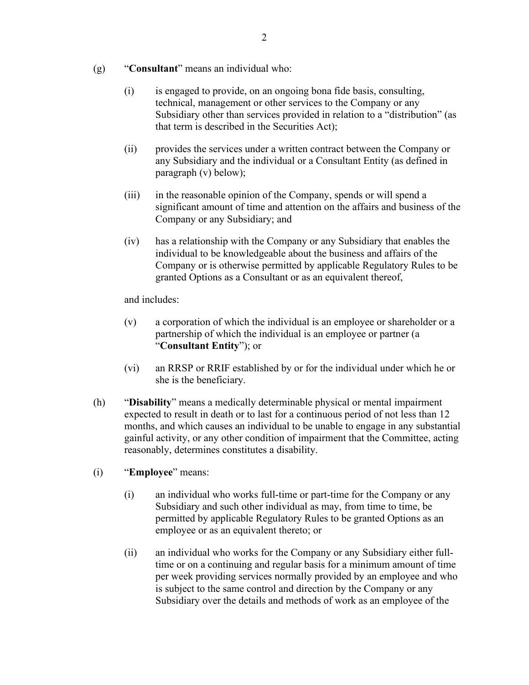- (g) "**Consultant**" means an individual who:
	- (i) is engaged to provide, on an ongoing bona fide basis, consulting, technical, management or other services to the Company or any Subsidiary other than services provided in relation to a "distribution" (as that term is described in the Securities Act);
	- (ii) provides the services under a written contract between the Company or any Subsidiary and the individual or a Consultant Entity (as defined in paragraph [\(v\)](#page-34-0) below);
	- (iii) in the reasonable opinion of the Company, spends or will spend a significant amount of time and attention on the affairs and business of the Company or any Subsidiary; and
	- (iv) has a relationship with the Company or any Subsidiary that enables the individual to be knowledgeable about the business and affairs of the Company or is otherwise permitted by applicable Regulatory Rules to be granted Options as a Consultant or as an equivalent thereof,

and includes:

- <span id="page-34-0"></span>(v) a corporation of which the individual is an employee or shareholder or a partnership of which the individual is an employee or partner (a "**Consultant Entity**"); or
- (vi) an RRSP or RRIF established by or for the individual under which he or she is the beneficiary.
- (h) "**Disability**" means a medically determinable physical or mental impairment expected to result in death or to last for a continuous period of not less than 12 months, and which causes an individual to be unable to engage in any substantial gainful activity, or any other condition of impairment that the Committee, acting reasonably, determines constitutes a disability.
- (i) "**Employee**" means:
	- (i) an individual who works full-time or part-time for the Company or any Subsidiary and such other individual as may, from time to time, be permitted by applicable Regulatory Rules to be granted Options as an employee or as an equivalent thereto; or
	- (ii) an individual who works for the Company or any Subsidiary either fulltime or on a continuing and regular basis for a minimum amount of time per week providing services normally provided by an employee and who is subject to the same control and direction by the Company or any Subsidiary over the details and methods of work as an employee of the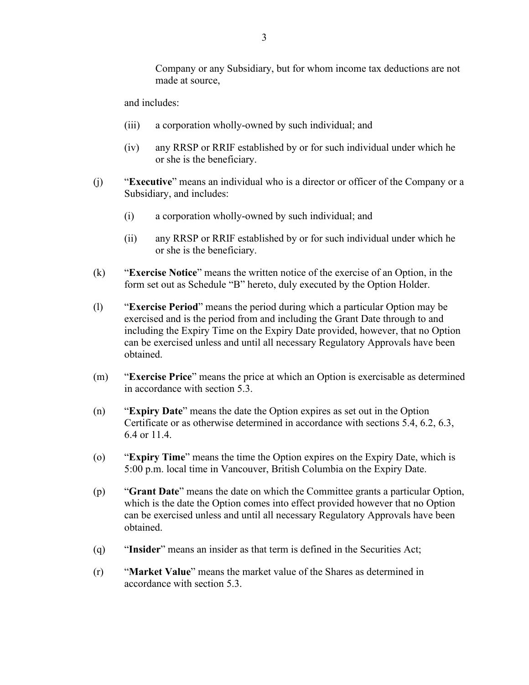and includes:

- (iii) a corporation wholly-owned by such individual; and
- (iv) any RRSP or RRIF established by or for such individual under which he or she is the beneficiary.
- (j) "**Executive**" means an individual who is a director or officer of the Company or a Subsidiary, and includes:
	- (i) a corporation wholly-owned by such individual; and
	- (ii) any RRSP or RRIF established by or for such individual under which he or she is the beneficiary.
- (k) "**Exercise Notice**" means the written notice of the exercise of an Option, in the form set out as Schedule "B" hereto, duly executed by the Option Holder.
- (l) "**Exercise Period**" means the period during which a particular Option may be exercised and is the period from and including the Grant Date through to and including the Expiry Time on the Expiry Date provided, however, that no Option can be exercised unless and until all necessary Regulatory Approvals have been obtained.
- (m) "**Exercise Price**" means the price at which an Option is exercisable as determined in accordance with section [5.3.](#page-41-4)
- (n) "**Expiry Date**" means the date the Option expires as set out in the Option Certificate or as otherwise determined in accordance with sections [5.4,](#page-42-0) [6.2,](#page-44-3) [6.3,](#page-44-4) [6.4](#page-44-5) or [11.4.](#page-50-2)
- (o) "**Expiry Time**" means the time the Option expires on the Expiry Date, which is 5:00 p.m. local time in Vancouver, British Columbia on the Expiry Date.
- (p) "**Grant Date**" means the date on which the Committee grants a particular Option, which is the date the Option comes into effect provided however that no Option can be exercised unless and until all necessary Regulatory Approvals have been obtained.
- (q) "**Insider**" means an insider as that term is defined in the Securities Act;
- (r) "**Market Value**" means the market value of the Shares as determined in accordance with section [5.3.](#page-41-4)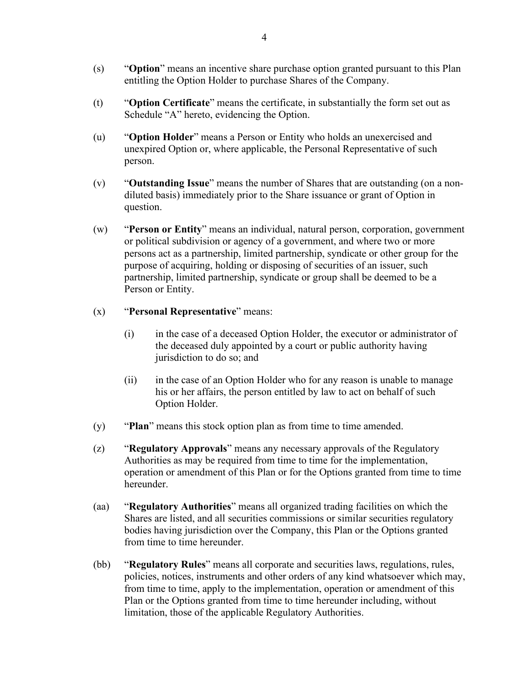- (s) "**Option**" means an incentive share purchase option granted pursuant to this Plan entitling the Option Holder to purchase Shares of the Company.
- (t) "**Option Certificate**" means the certificate, in substantially the form set out as Schedule "A" hereto, evidencing the Option.
- (u) "**Option Holder**" means a Person or Entity who holds an unexercised and unexpired Option or, where applicable, the Personal Representative of such person.
- (v) "**Outstanding Issue**" means the number of Shares that are outstanding (on a nondiluted basis) immediately prior to the Share issuance or grant of Option in question.
- (w) "**Person or Entity**" means an individual, natural person, corporation, government or political subdivision or agency of a government, and where two or more persons act as a partnership, limited partnership, syndicate or other group for the purpose of acquiring, holding or disposing of securities of an issuer, such partnership, limited partnership, syndicate or group shall be deemed to be a Person or Entity.
- (x) "**Personal Representative**" means:
	- (i) in the case of a deceased Option Holder, the executor or administrator of the deceased duly appointed by a court or public authority having jurisdiction to do so; and
	- (ii) in the case of an Option Holder who for any reason is unable to manage his or her affairs, the person entitled by law to act on behalf of such Option Holder.
- (y) "**Plan**" means this stock option plan as from time to time amended.
- (z) "**Regulatory Approvals**" means any necessary approvals of the Regulatory Authorities as may be required from time to time for the implementation, operation or amendment of this Plan or for the Options granted from time to time hereunder.
- (aa) "**Regulatory Authorities**" means all organized trading facilities on which the Shares are listed, and all securities commissions or similar securities regulatory bodies having jurisdiction over the Company, this Plan or the Options granted from time to time hereunder.
- (bb) "**Regulatory Rules**" means all corporate and securities laws, regulations, rules, policies, notices, instruments and other orders of any kind whatsoever which may, from time to time, apply to the implementation, operation or amendment of this Plan or the Options granted from time to time hereunder including, without limitation, those of the applicable Regulatory Authorities.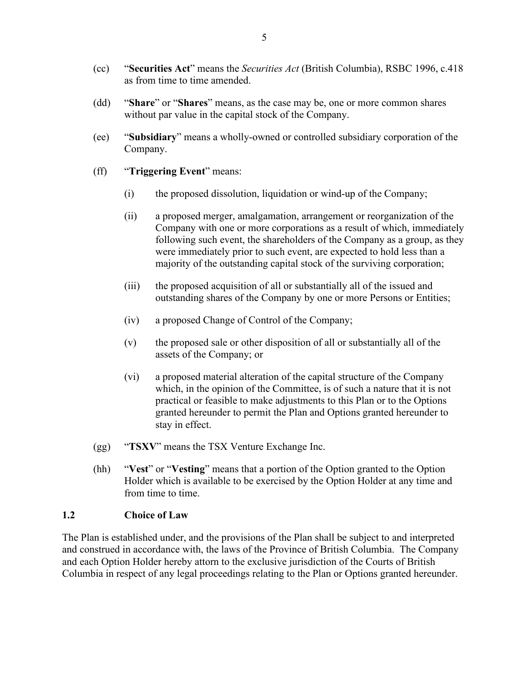- (cc) "**Securities Act**" means the *Securities Act* (British Columbia), RSBC 1996, c.418 as from time to time amended.
- (dd) "**Share**" or "**Shares**" means, as the case may be, one or more common shares without par value in the capital stock of the Company.
- (ee) "**Subsidiary**" means a wholly-owned or controlled subsidiary corporation of the Company.
- (ff) "**Triggering Event**" means:
	- (i) the proposed dissolution, liquidation or wind-up of the Company;
	- (ii) a proposed merger, amalgamation, arrangement or reorganization of the Company with one or more corporations as a result of which, immediately following such event, the shareholders of the Company as a group, as they were immediately prior to such event, are expected to hold less than a majority of the outstanding capital stock of the surviving corporation;
	- (iii) the proposed acquisition of all or substantially all of the issued and outstanding shares of the Company by one or more Persons or Entities;
	- (iv) a proposed Change of Control of the Company;
	- (v) the proposed sale or other disposition of all or substantially all of the assets of the Company; or
	- (vi) a proposed material alteration of the capital structure of the Company which, in the opinion of the Committee, is of such a nature that it is not practical or feasible to make adjustments to this Plan or to the Options granted hereunder to permit the Plan and Options granted hereunder to stay in effect.
- (gg) "**TSXV**" means the TSX Venture Exchange Inc.
- (hh) "**Vest**" or "**Vesting**" means that a portion of the Option granted to the Option Holder which is available to be exercised by the Option Holder at any time and from time to time.

#### <span id="page-37-0"></span>**1.2 Choice of Law**

The Plan is established under, and the provisions of the Plan shall be subject to and interpreted and construed in accordance with, the laws of the Province of British Columbia. The Company and each Option Holder hereby attorn to the exclusive jurisdiction of the Courts of British Columbia in respect of any legal proceedings relating to the Plan or Options granted hereunder.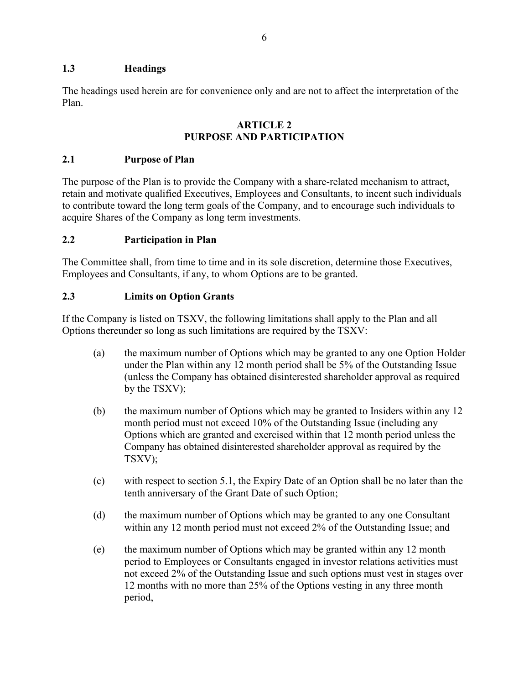# <span id="page-38-0"></span>**1.3 Headings**

The headings used herein are for convenience only and are not to affect the interpretation of the Plan.

#### **ARTICLE 2 PURPOSE AND PARTICIPATION**

# <span id="page-38-2"></span><span id="page-38-1"></span>**2.1 Purpose of Plan**

The purpose of the Plan is to provide the Company with a share-related mechanism to attract, retain and motivate qualified Executives, Employees and Consultants, to incent such individuals to contribute toward the long term goals of the Company, and to encourage such individuals to acquire Shares of the Company as long term investments.

# <span id="page-38-3"></span>**2.2 Participation in Plan**

The Committee shall, from time to time and in its sole discretion, determine those Executives, Employees and Consultants, if any, to whom Options are to be granted.

# <span id="page-38-4"></span>**2.3 Limits on Option Grants**

If the Company is listed on TSXV, the following limitations shall apply to the Plan and all Options thereunder so long as such limitations are required by the TSXV:

- (a) the maximum number of Options which may be granted to any one Option Holder under the Plan within any 12 month period shall be 5% of the Outstanding Issue (unless the Company has obtained disinterested shareholder approval as required by the TSXV);
- (b) the maximum number of Options which may be granted to Insiders within any 12 month period must not exceed 10% of the Outstanding Issue (including any Options which are granted and exercised within that 12 month period unless the Company has obtained disinterested shareholder approval as required by the TSXV);
- (c) with respect to section [5.1,](#page-41-2) the Expiry Date of an Option shall be no later than the tenth anniversary of the Grant Date of such Option;
- (d) the maximum number of Options which may be granted to any one Consultant within any 12 month period must not exceed 2% of the Outstanding Issue; and
- (e) the maximum number of Options which may be granted within any 12 month period to Employees or Consultants engaged in investor relations activities must not exceed 2% of the Outstanding Issue and such options must vest in stages over 12 months with no more than 25% of the Options vesting in any three month period,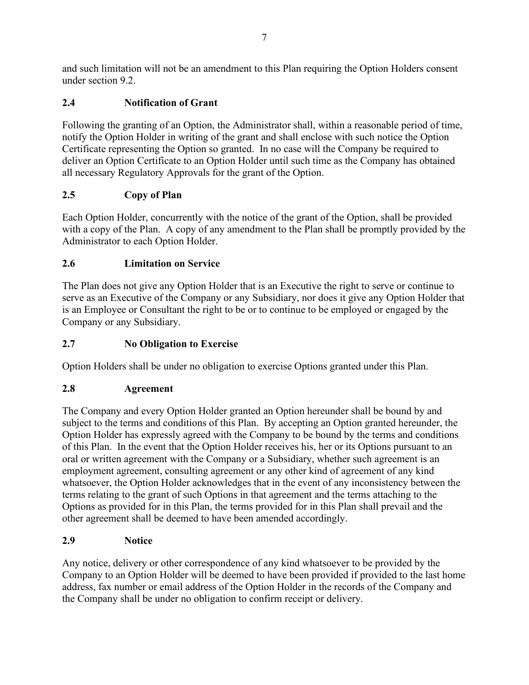and such limitation will not be an amendment to this Plan requiring the Option Holders consent under section [9.2.](#page-48-2)

# <span id="page-39-0"></span>**2.4 Notification of Grant**

Following the granting of an Option, the Administrator shall, within a reasonable period of time, notify the Option Holder in writing of the grant and shall enclose with such notice the Option Certificate representing the Option so granted. In no case will the Company be required to deliver an Option Certificate to an Option Holder until such time as the Company has obtained all necessary Regulatory Approvals for the grant of the Option.

# <span id="page-39-1"></span>**2.5 Copy of Plan**

Each Option Holder, concurrently with the notice of the grant of the Option, shall be provided with a copy of the Plan. A copy of any amendment to the Plan shall be promptly provided by the Administrator to each Option Holder.

# <span id="page-39-2"></span>**2.6 Limitation on Service**

The Plan does not give any Option Holder that is an Executive the right to serve or continue to serve as an Executive of the Company or any Subsidiary, nor does it give any Option Holder that is an Employee or Consultant the right to be or to continue to be employed or engaged by the Company or any Subsidiary.

# <span id="page-39-3"></span>**2.7 No Obligation to Exercise**

Option Holders shall be under no obligation to exercise Options granted under this Plan.

# <span id="page-39-4"></span>**2.8 Agreement**

The Company and every Option Holder granted an Option hereunder shall be bound by and subject to the terms and conditions of this Plan. By accepting an Option granted hereunder, the Option Holder has expressly agreed with the Company to be bound by the terms and conditions of this Plan. In the event that the Option Holder receives his, her or its Options pursuant to an oral or written agreement with the Company or a Subsidiary, whether such agreement is an employment agreement, consulting agreement or any other kind of agreement of any kind whatsoever, the Option Holder acknowledges that in the event of any inconsistency between the terms relating to the grant of such Options in that agreement and the terms attaching to the Options as provided for in this Plan, the terms provided for in this Plan shall prevail and the other agreement shall be deemed to have been amended accordingly.

# <span id="page-39-5"></span>**2.9 Notice**

Any notice, delivery or other correspondence of any kind whatsoever to be provided by the Company to an Option Holder will be deemed to have been provided if provided to the last home address, fax number or email address of the Option Holder in the records of the Company and the Company shall be under no obligation to confirm receipt or delivery.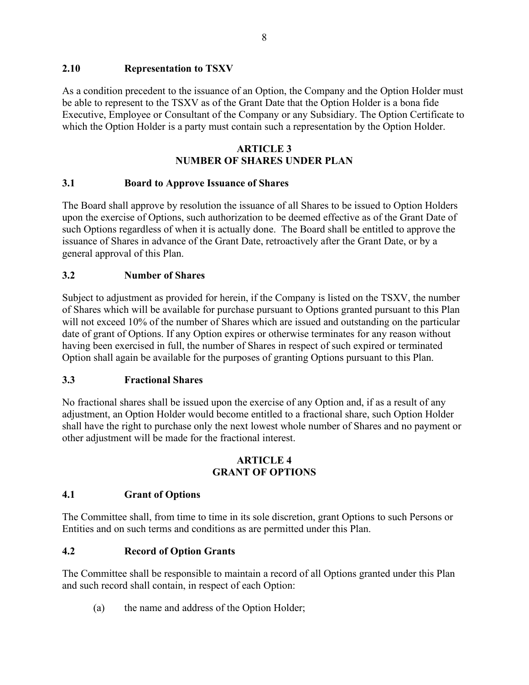# <span id="page-40-0"></span>**2.10 Representation to TSXV**

As a condition precedent to the issuance of an Option, the Company and the Option Holder must be able to represent to the TSXV as of the Grant Date that the Option Holder is a bona fide Executive, Employee or Consultant of the Company or any Subsidiary. The Option Certificate to which the Option Holder is a party must contain such a representation by the Option Holder.

# **ARTICLE 3 NUMBER OF SHARES UNDER PLAN**

# <span id="page-40-2"></span><span id="page-40-1"></span>**3.1 Board to Approve Issuance of Shares**

The Board shall approve by resolution the issuance of all Shares to be issued to Option Holders upon the exercise of Options, such authorization to be deemed effective as of the Grant Date of such Options regardless of when it is actually done. The Board shall be entitled to approve the issuance of Shares in advance of the Grant Date, retroactively after the Grant Date, or by a general approval of this Plan.

# <span id="page-40-3"></span>**3.2 Number of Shares**

Subject to adjustment as provided for herein, if the Company is listed on the TSXV, the number of Shares which will be available for purchase pursuant to Options granted pursuant to this Plan will not exceed 10% of the number of Shares which are issued and outstanding on the particular date of grant of Options. If any Option expires or otherwise terminates for any reason without having been exercised in full, the number of Shares in respect of such expired or terminated Option shall again be available for the purposes of granting Options pursuant to this Plan.

# <span id="page-40-4"></span>**3.3 Fractional Shares**

No fractional shares shall be issued upon the exercise of any Option and, if as a result of any adjustment, an Option Holder would become entitled to a fractional share, such Option Holder shall have the right to purchase only the next lowest whole number of Shares and no payment or other adjustment will be made for the fractional interest.

#### **ARTICLE 4 GRANT OF OPTIONS**

# <span id="page-40-6"></span><span id="page-40-5"></span>**4.1 Grant of Options**

The Committee shall, from time to time in its sole discretion, grant Options to such Persons or Entities and on such terms and conditions as are permitted under this Plan.

# <span id="page-40-7"></span>**4.2 Record of Option Grants**

The Committee shall be responsible to maintain a record of all Options granted under this Plan and such record shall contain, in respect of each Option:

(a) the name and address of the Option Holder;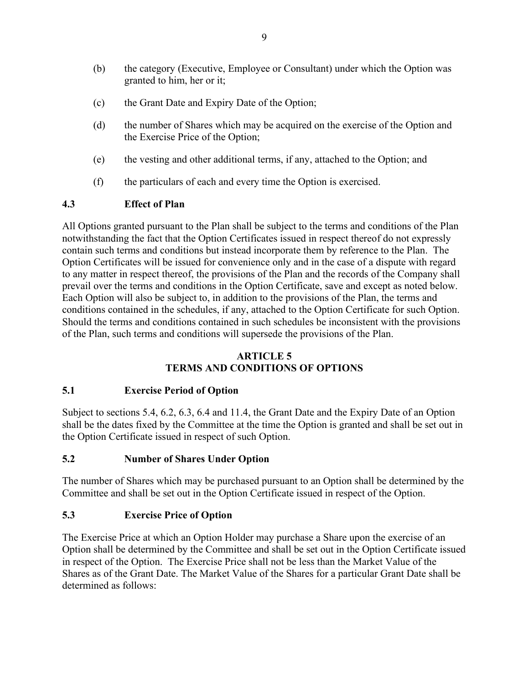- (b) the category (Executive, Employee or Consultant) under which the Option was granted to him, her or it;
- (c) the Grant Date and Expiry Date of the Option;
- (d) the number of Shares which may be acquired on the exercise of the Option and the Exercise Price of the Option;
- (e) the vesting and other additional terms, if any, attached to the Option; and
- (f) the particulars of each and every time the Option is exercised.

# <span id="page-41-0"></span>**4.3 Effect of Plan**

All Options granted pursuant to the Plan shall be subject to the terms and conditions of the Plan notwithstanding the fact that the Option Certificates issued in respect thereof do not expressly contain such terms and conditions but instead incorporate them by reference to the Plan. The Option Certificates will be issued for convenience only and in the case of a dispute with regard to any matter in respect thereof, the provisions of the Plan and the records of the Company shall prevail over the terms and conditions in the Option Certificate, save and except as noted below. Each Option will also be subject to, in addition to the provisions of the Plan, the terms and conditions contained in the schedules, if any, attached to the Option Certificate for such Option. Should the terms and conditions contained in such schedules be inconsistent with the provisions of the Plan, such terms and conditions will supersede the provisions of the Plan.

# **ARTICLE 5 TERMS AND CONDITIONS OF OPTIONS**

#### <span id="page-41-2"></span><span id="page-41-1"></span>**5.1 Exercise Period of Option**

Subject to sections [5.4,](#page-42-0) [6.2,](#page-44-3) [6.3,](#page-44-4) [6.4](#page-44-5) and [11.4,](#page-50-2) the Grant Date and the Expiry Date of an Option shall be the dates fixed by the Committee at the time the Option is granted and shall be set out in the Option Certificate issued in respect of such Option.

#### <span id="page-41-3"></span>**5.2 Number of Shares Under Option**

The number of Shares which may be purchased pursuant to an Option shall be determined by the Committee and shall be set out in the Option Certificate issued in respect of the Option.

#### <span id="page-41-4"></span>**5.3 Exercise Price of Option**

The Exercise Price at which an Option Holder may purchase a Share upon the exercise of an Option shall be determined by the Committee and shall be set out in the Option Certificate issued in respect of the Option. The Exercise Price shall not be less than the Market Value of the Shares as of the Grant Date. The Market Value of the Shares for a particular Grant Date shall be determined as follows: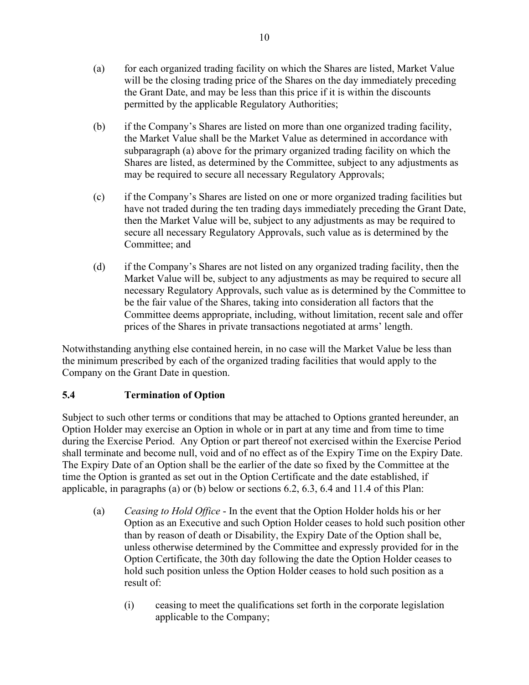- (a) for each organized trading facility on which the Shares are listed, Market Value will be the closing trading price of the Shares on the day immediately preceding the Grant Date, and may be less than this price if it is within the discounts permitted by the applicable Regulatory Authorities;
- (b) if the Company's Shares are listed on more than one organized trading facility, the Market Value shall be the Market Value as determined in accordance with subparagraph (a) above for the primary organized trading facility on which the Shares are listed, as determined by the Committee, subject to any adjustments as may be required to secure all necessary Regulatory Approvals;
- (c) if the Company's Shares are listed on one or more organized trading facilities but have not traded during the ten trading days immediately preceding the Grant Date, then the Market Value will be, subject to any adjustments as may be required to secure all necessary Regulatory Approvals, such value as is determined by the Committee; and
- (d) if the Company's Shares are not listed on any organized trading facility, then the Market Value will be, subject to any adjustments as may be required to secure all necessary Regulatory Approvals, such value as is determined by the Committee to be the fair value of the Shares, taking into consideration all factors that the Committee deems appropriate, including, without limitation, recent sale and offer prices of the Shares in private transactions negotiated at arms' length.

Notwithstanding anything else contained herein, in no case will the Market Value be less than the minimum prescribed by each of the organized trading facilities that would apply to the Company on the Grant Date in question.

# <span id="page-42-0"></span>**5.4 Termination of Option**

Subject to such other terms or conditions that may be attached to Options granted hereunder, an Option Holder may exercise an Option in whole or in part at any time and from time to time during the Exercise Period. Any Option or part thereof not exercised within the Exercise Period shall terminate and become null, void and of no effect as of the Expiry Time on the Expiry Date. The Expiry Date of an Option shall be the earlier of the date so fixed by the Committee at the time the Option is granted as set out in the Option Certificate and the date established, if applicable, in paragraphs (a) or (b) below or sections [6.2,](#page-44-3) [6.3,](#page-44-4) [6.4](#page-44-5) and [11.4](#page-50-2) of this Plan:

- (a) *Ceasing to Hold Office* In the event that the Option Holder holds his or her Option as an Executive and such Option Holder ceases to hold such position other than by reason of death or Disability, the Expiry Date of the Option shall be, unless otherwise determined by the Committee and expressly provided for in the Option Certificate, the 30th day following the date the Option Holder ceases to hold such position unless the Option Holder ceases to hold such position as a result of:
	- (i) ceasing to meet the qualifications set forth in the corporate legislation applicable to the Company;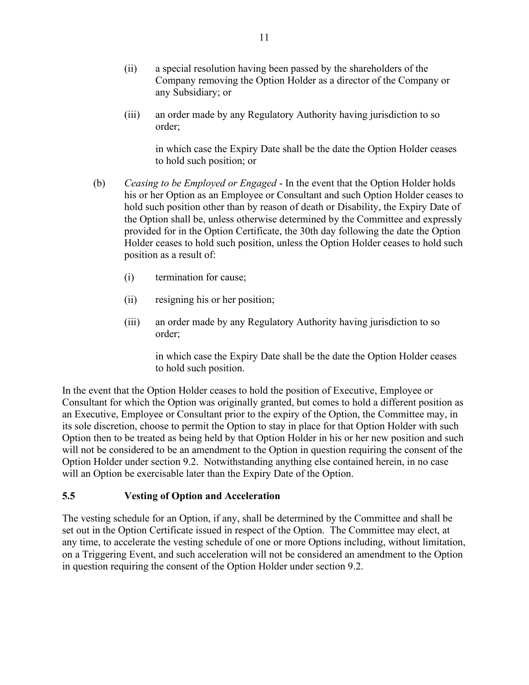- (ii) a special resolution having been passed by the shareholders of the Company removing the Option Holder as a director of the Company or any Subsidiary; or
- (iii) an order made by any Regulatory Authority having jurisdiction to so order;

in which case the Expiry Date shall be the date the Option Holder ceases to hold such position; or

- (b) *Ceasing to be Employed or Engaged* In the event that the Option Holder holds his or her Option as an Employee or Consultant and such Option Holder ceases to hold such position other than by reason of death or Disability, the Expiry Date of the Option shall be, unless otherwise determined by the Committee and expressly provided for in the Option Certificate, the 30th day following the date the Option Holder ceases to hold such position, unless the Option Holder ceases to hold such position as a result of:
	- (i) termination for cause;
	- (ii) resigning his or her position;
	- (iii) an order made by any Regulatory Authority having jurisdiction to so order;

in which case the Expiry Date shall be the date the Option Holder ceases to hold such position.

In the event that the Option Holder ceases to hold the position of Executive, Employee or Consultant for which the Option was originally granted, but comes to hold a different position as an Executive, Employee or Consultant prior to the expiry of the Option, the Committee may, in its sole discretion, choose to permit the Option to stay in place for that Option Holder with such Option then to be treated as being held by that Option Holder in his or her new position and such will not be considered to be an amendment to the Option in question requiring the consent of the Option Holder under section [9.2.](#page-48-2) Notwithstanding anything else contained herein, in no case will an Option be exercisable later than the Expiry Date of the Option.

#### <span id="page-43-0"></span>**5.5 Vesting of Option and Acceleration**

The vesting schedule for an Option, if any, shall be determined by the Committee and shall be set out in the Option Certificate issued in respect of the Option. The Committee may elect, at any time, to accelerate the vesting schedule of one or more Options including, without limitation, on a Triggering Event, and such acceleration will not be considered an amendment to the Option in question requiring the consent of the Option Holder under section [9.2.](#page-48-2)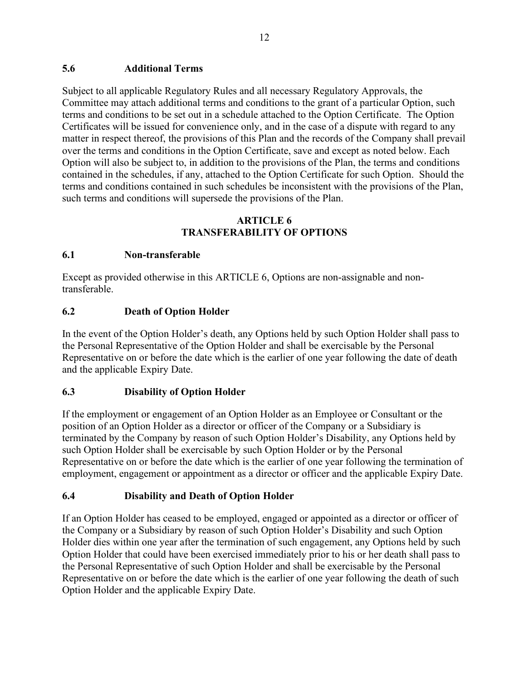# <span id="page-44-0"></span>**5.6 Additional Terms**

Subject to all applicable Regulatory Rules and all necessary Regulatory Approvals, the Committee may attach additional terms and conditions to the grant of a particular Option, such terms and conditions to be set out in a schedule attached to the Option Certificate. The Option Certificates will be issued for convenience only, and in the case of a dispute with regard to any matter in respect thereof, the provisions of this Plan and the records of the Company shall prevail over the terms and conditions in the Option Certificate, save and except as noted below. Each Option will also be subject to, in addition to the provisions of the Plan, the terms and conditions contained in the schedules, if any, attached to the Option Certificate for such Option. Should the terms and conditions contained in such schedules be inconsistent with the provisions of the Plan, such terms and conditions will supersede the provisions of the Plan.

# **ARTICLE 6 TRANSFERABILITY OF OPTIONS**

# <span id="page-44-2"></span><span id="page-44-1"></span>**6.1 Non-transferable**

Except as provided otherwise in this [ARTICLE](#page-44-1) 6, Options are non-assignable and nontransferable.

# <span id="page-44-3"></span>**6.2 Death of Option Holder**

In the event of the Option Holder's death, any Options held by such Option Holder shall pass to the Personal Representative of the Option Holder and shall be exercisable by the Personal Representative on or before the date which is the earlier of one year following the date of death and the applicable Expiry Date.

#### <span id="page-44-4"></span>**6.3 Disability of Option Holder**

If the employment or engagement of an Option Holder as an Employee or Consultant or the position of an Option Holder as a director or officer of the Company or a Subsidiary is terminated by the Company by reason of such Option Holder's Disability, any Options held by such Option Holder shall be exercisable by such Option Holder or by the Personal Representative on or before the date which is the earlier of one year following the termination of employment, engagement or appointment as a director or officer and the applicable Expiry Date.

# <span id="page-44-5"></span>**6.4 Disability and Death of Option Holder**

If an Option Holder has ceased to be employed, engaged or appointed as a director or officer of the Company or a Subsidiary by reason of such Option Holder's Disability and such Option Holder dies within one year after the termination of such engagement, any Options held by such Option Holder that could have been exercised immediately prior to his or her death shall pass to the Personal Representative of such Option Holder and shall be exercisable by the Personal Representative on or before the date which is the earlier of one year following the death of such Option Holder and the applicable Expiry Date.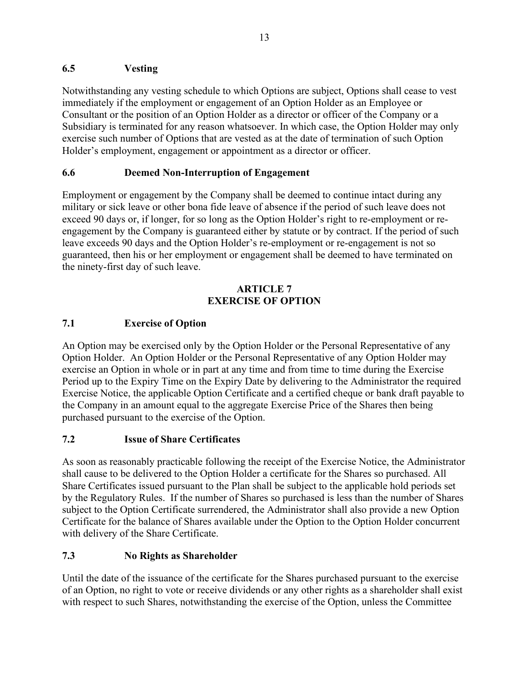# <span id="page-45-0"></span>**6.5 Vesting**

Notwithstanding any vesting schedule to which Options are subject, Options shall cease to vest immediately if the employment or engagement of an Option Holder as an Employee or Consultant or the position of an Option Holder as a director or officer of the Company or a Subsidiary is terminated for any reason whatsoever. In which case, the Option Holder may only exercise such number of Options that are vested as at the date of termination of such Option Holder's employment, engagement or appointment as a director or officer.

# <span id="page-45-1"></span>**6.6 Deemed Non-Interruption of Engagement**

Employment or engagement by the Company shall be deemed to continue intact during any military or sick leave or other bona fide leave of absence if the period of such leave does not exceed 90 days or, if longer, for so long as the Option Holder's right to re-employment or reengagement by the Company is guaranteed either by statute or by contract. If the period of such leave exceeds 90 days and the Option Holder's re-employment or re-engagement is not so guaranteed, then his or her employment or engagement shall be deemed to have terminated on the ninety-first day of such leave.

# **ARTICLE 7 EXERCISE OF OPTION**

# <span id="page-45-3"></span><span id="page-45-2"></span>**7.1 Exercise of Option**

An Option may be exercised only by the Option Holder or the Personal Representative of any Option Holder. An Option Holder or the Personal Representative of any Option Holder may exercise an Option in whole or in part at any time and from time to time during the Exercise Period up to the Expiry Time on the Expiry Date by delivering to the Administrator the required Exercise Notice, the applicable Option Certificate and a certified cheque or bank draft payable to the Company in an amount equal to the aggregate Exercise Price of the Shares then being purchased pursuant to the exercise of the Option.

# <span id="page-45-4"></span>**7.2 Issue of Share Certificates**

As soon as reasonably practicable following the receipt of the Exercise Notice, the Administrator shall cause to be delivered to the Option Holder a certificate for the Shares so purchased. All Share Certificates issued pursuant to the Plan shall be subject to the applicable hold periods set by the Regulatory Rules. If the number of Shares so purchased is less than the number of Shares subject to the Option Certificate surrendered, the Administrator shall also provide a new Option Certificate for the balance of Shares available under the Option to the Option Holder concurrent with delivery of the Share Certificate.

# <span id="page-45-5"></span>**7.3 No Rights as Shareholder**

Until the date of the issuance of the certificate for the Shares purchased pursuant to the exercise of an Option, no right to vote or receive dividends or any other rights as a shareholder shall exist with respect to such Shares, notwithstanding the exercise of the Option, unless the Committee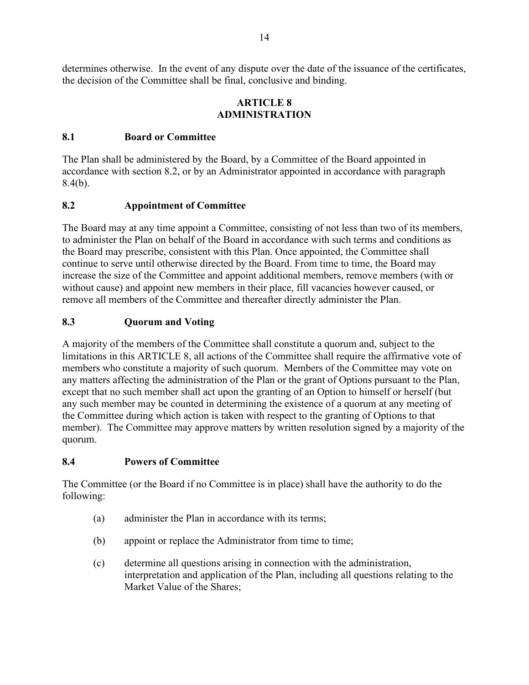determines otherwise. In the event of any dispute over the date of the issuance of the certificates, the decision of the Committee shall be final, conclusive and binding.

#### **ARTICLE 8 ADMINISTRATION**

# <span id="page-46-1"></span><span id="page-46-0"></span>**8.1 Board or Committee**

The Plan shall be administered by the Board, by a Committee of the Board appointed in accordance with section [8.2,](#page-46-2) or by an Administrator appointed in accordance with paragraph [8.4\(b\).](#page-46-5)

# <span id="page-46-2"></span>**8.2 Appointment of Committee**

The Board may at any time appoint a Committee, consisting of not less than two of its members, to administer the Plan on behalf of the Board in accordance with such terms and conditions as the Board may prescribe, consistent with this Plan. Once appointed, the Committee shall continue to serve until otherwise directed by the Board. From time to time, the Board may increase the size of the Committee and appoint additional members, remove members (with or without cause) and appoint new members in their place, fill vacancies however caused, or remove all members of the Committee and thereafter directly administer the Plan.

# <span id="page-46-3"></span>**8.3 Quorum and Voting**

A majority of the members of the Committee shall constitute a quorum and, subject to the limitations in this [ARTICLE](#page-46-0) 8, all actions of the Committee shall require the affirmative vote of members who constitute a majority of such quorum. Members of the Committee may vote on any matters affecting the administration of the Plan or the grant of Options pursuant to the Plan, except that no such member shall act upon the granting of an Option to himself or herself (but any such member may be counted in determining the existence of a quorum at any meeting of the Committee during which action is taken with respect to the granting of Options to that member). The Committee may approve matters by written resolution signed by a majority of the quorum.

#### <span id="page-46-4"></span>**8.4 Powers of Committee**

The Committee (or the Board if no Committee is in place) shall have the authority to do the following:

- <span id="page-46-5"></span>(a) administer the Plan in accordance with its terms;
- (b) appoint or replace the Administrator from time to time;
- (c) determine all questions arising in connection with the administration, interpretation and application of the Plan, including all questions relating to the Market Value of the Shares;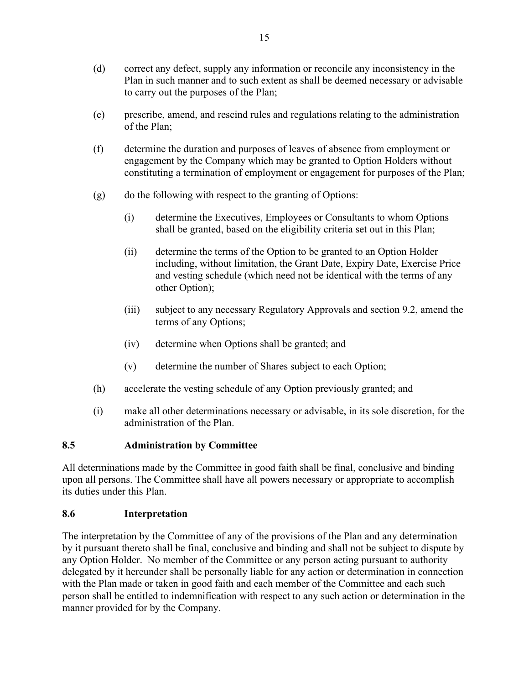- (d) correct any defect, supply any information or reconcile any inconsistency in the Plan in such manner and to such extent as shall be deemed necessary or advisable to carry out the purposes of the Plan;
- (e) prescribe, amend, and rescind rules and regulations relating to the administration of the Plan;
- (f) determine the duration and purposes of leaves of absence from employment or engagement by the Company which may be granted to Option Holders without constituting a termination of employment or engagement for purposes of the Plan;
- (g) do the following with respect to the granting of Options:
	- (i) determine the Executives, Employees or Consultants to whom Options shall be granted, based on the eligibility criteria set out in this Plan;
	- (ii) determine the terms of the Option to be granted to an Option Holder including, without limitation, the Grant Date, Expiry Date, Exercise Price and vesting schedule (which need not be identical with the terms of any other Option);
	- (iii) subject to any necessary Regulatory Approvals and section [9.2,](#page-48-2) amend the terms of any Options;
	- (iv) determine when Options shall be granted; and
	- (v) determine the number of Shares subject to each Option;
- (h) accelerate the vesting schedule of any Option previously granted; and
- (i) make all other determinations necessary or advisable, in its sole discretion, for the administration of the Plan.

#### <span id="page-47-0"></span>**8.5 Administration by Committee**

All determinations made by the Committee in good faith shall be final, conclusive and binding upon all persons. The Committee shall have all powers necessary or appropriate to accomplish its duties under this Plan.

#### <span id="page-47-1"></span>**8.6 Interpretation**

The interpretation by the Committee of any of the provisions of the Plan and any determination by it pursuant thereto shall be final, conclusive and binding and shall not be subject to dispute by any Option Holder. No member of the Committee or any person acting pursuant to authority delegated by it hereunder shall be personally liable for any action or determination in connection with the Plan made or taken in good faith and each member of the Committee and each such person shall be entitled to indemnification with respect to any such action or determination in the manner provided for by the Company.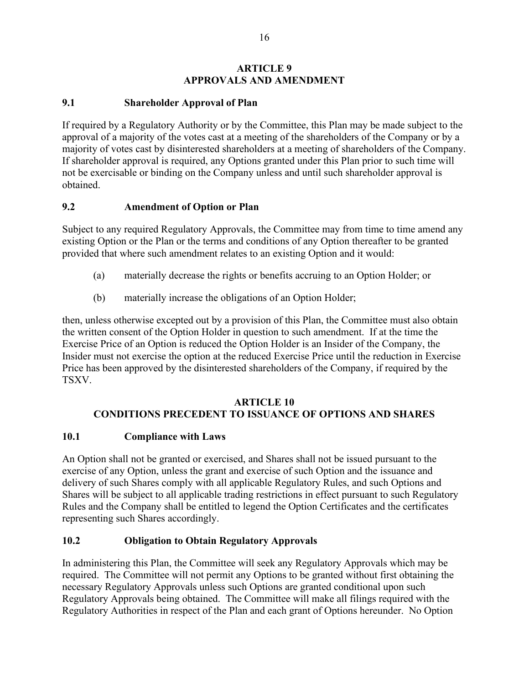# **ARTICLE 9 APPROVALS AND AMENDMENT**

# <span id="page-48-1"></span><span id="page-48-0"></span>**9.1 Shareholder Approval of Plan**

If required by a Regulatory Authority or by the Committee, this Plan may be made subject to the approval of a majority of the votes cast at a meeting of the shareholders of the Company or by a majority of votes cast by disinterested shareholders at a meeting of shareholders of the Company. If shareholder approval is required, any Options granted under this Plan prior to such time will not be exercisable or binding on the Company unless and until such shareholder approval is obtained.

# <span id="page-48-2"></span>**9.2 Amendment of Option or Plan**

Subject to any required Regulatory Approvals, the Committee may from time to time amend any existing Option or the Plan or the terms and conditions of any Option thereafter to be granted provided that where such amendment relates to an existing Option and it would:

- (a) materially decrease the rights or benefits accruing to an Option Holder; or
- (b) materially increase the obligations of an Option Holder;

then, unless otherwise excepted out by a provision of this Plan, the Committee must also obtain the written consent of the Option Holder in question to such amendment. If at the time the Exercise Price of an Option is reduced the Option Holder is an Insider of the Company, the Insider must not exercise the option at the reduced Exercise Price until the reduction in Exercise Price has been approved by the disinterested shareholders of the Company, if required by the TSXV.

# **ARTICLE 10 CONDITIONS PRECEDENT TO ISSUANCE OF OPTIONS AND SHARES**

# <span id="page-48-4"></span><span id="page-48-3"></span>**10.1 Compliance with Laws**

An Option shall not be granted or exercised, and Shares shall not be issued pursuant to the exercise of any Option, unless the grant and exercise of such Option and the issuance and delivery of such Shares comply with all applicable Regulatory Rules, and such Options and Shares will be subject to all applicable trading restrictions in effect pursuant to such Regulatory Rules and the Company shall be entitled to legend the Option Certificates and the certificates representing such Shares accordingly.

# <span id="page-48-5"></span>**10.2 Obligation to Obtain Regulatory Approvals**

In administering this Plan, the Committee will seek any Regulatory Approvals which may be required. The Committee will not permit any Options to be granted without first obtaining the necessary Regulatory Approvals unless such Options are granted conditional upon such Regulatory Approvals being obtained. The Committee will make all filings required with the Regulatory Authorities in respect of the Plan and each grant of Options hereunder. No Option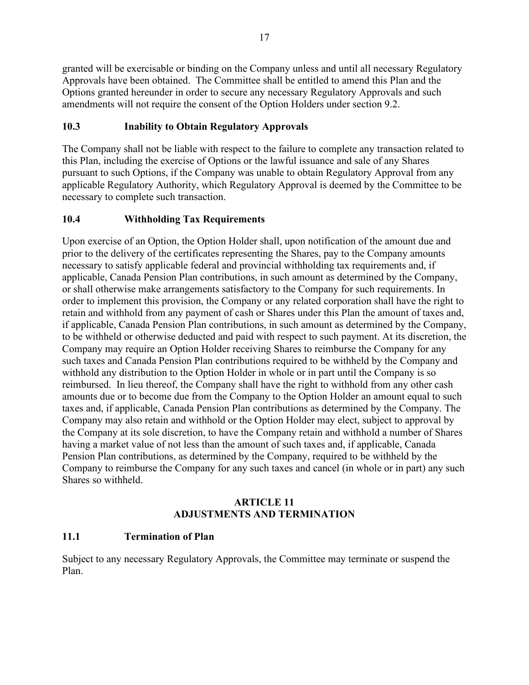granted will be exercisable or binding on the Company unless and until all necessary Regulatory Approvals have been obtained. The Committee shall be entitled to amend this Plan and the Options granted hereunder in order to secure any necessary Regulatory Approvals and such amendments will not require the consent of the Option Holders under section [9.2.](#page-48-2)

# <span id="page-49-0"></span>**10.3 Inability to Obtain Regulatory Approvals**

The Company shall not be liable with respect to the failure to complete any transaction related to this Plan, including the exercise of Options or the lawful issuance and sale of any Shares pursuant to such Options, if the Company was unable to obtain Regulatory Approval from any applicable Regulatory Authority, which Regulatory Approval is deemed by the Committee to be necessary to complete such transaction.

# <span id="page-49-1"></span>**10.4 Withholding Tax Requirements**

Upon exercise of an Option, the Option Holder shall, upon notification of the amount due and prior to the delivery of the certificates representing the Shares, pay to the Company amounts necessary to satisfy applicable federal and provincial withholding tax requirements and, if applicable, Canada Pension Plan contributions, in such amount as determined by the Company, or shall otherwise make arrangements satisfactory to the Company for such requirements. In order to implement this provision, the Company or any related corporation shall have the right to retain and withhold from any payment of cash or Shares under this Plan the amount of taxes and, if applicable, Canada Pension Plan contributions, in such amount as determined by the Company, to be withheld or otherwise deducted and paid with respect to such payment. At its discretion, the Company may require an Option Holder receiving Shares to reimburse the Company for any such taxes and Canada Pension Plan contributions required to be withheld by the Company and withhold any distribution to the Option Holder in whole or in part until the Company is so reimbursed. In lieu thereof, the Company shall have the right to withhold from any other cash amounts due or to become due from the Company to the Option Holder an amount equal to such taxes and, if applicable, Canada Pension Plan contributions as determined by the Company. The Company may also retain and withhold or the Option Holder may elect, subject to approval by the Company at its sole discretion, to have the Company retain and withhold a number of Shares having a market value of not less than the amount of such taxes and, if applicable, Canada Pension Plan contributions, as determined by the Company, required to be withheld by the Company to reimburse the Company for any such taxes and cancel (in whole or in part) any such Shares so withheld.

# **ARTICLE 11 ADJUSTMENTS AND TERMINATION**

# <span id="page-49-3"></span><span id="page-49-2"></span>**11.1 Termination of Plan**

Subject to any necessary Regulatory Approvals, the Committee may terminate or suspend the Plan.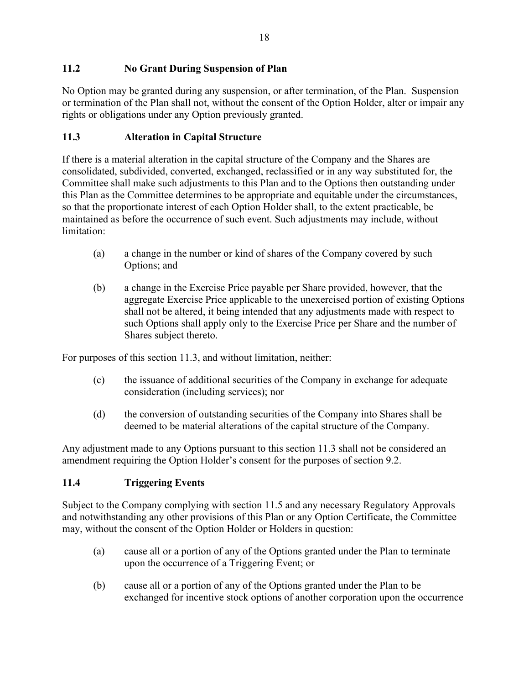# <span id="page-50-0"></span>**11.2 No Grant During Suspension of Plan**

No Option may be granted during any suspension, or after termination, of the Plan. Suspension or termination of the Plan shall not, without the consent of the Option Holder, alter or impair any rights or obligations under any Option previously granted.

# <span id="page-50-1"></span>**11.3 Alteration in Capital Structure**

If there is a material alteration in the capital structure of the Company and the Shares are consolidated, subdivided, converted, exchanged, reclassified or in any way substituted for, the Committee shall make such adjustments to this Plan and to the Options then outstanding under this Plan as the Committee determines to be appropriate and equitable under the circumstances, so that the proportionate interest of each Option Holder shall, to the extent practicable, be maintained as before the occurrence of such event. Such adjustments may include, without limitation:

- (a) a change in the number or kind of shares of the Company covered by such Options; and
- (b) a change in the Exercise Price payable per Share provided, however, that the aggregate Exercise Price applicable to the unexercised portion of existing Options shall not be altered, it being intended that any adjustments made with respect to such Options shall apply only to the Exercise Price per Share and the number of Shares subject thereto.

For purposes of this section [11.3,](#page-50-1) and without limitation, neither:

- (c) the issuance of additional securities of the Company in exchange for adequate consideration (including services); nor
- (d) the conversion of outstanding securities of the Company into Shares shall be deemed to be material alterations of the capital structure of the Company.

Any adjustment made to any Options pursuant to this section [11.3](#page-50-1) shall not be considered an amendment requiring the Option Holder's consent for the purposes of section [9.2.](#page-48-2)

# <span id="page-50-2"></span>**11.4 Triggering Events**

Subject to the Company complying with section [11.5](#page-51-0) and any necessary Regulatory Approvals and notwithstanding any other provisions of this Plan or any Option Certificate, the Committee may, without the consent of the Option Holder or Holders in question:

- (a) cause all or a portion of any of the Options granted under the Plan to terminate upon the occurrence of a Triggering Event; or
- (b) cause all or a portion of any of the Options granted under the Plan to be exchanged for incentive stock options of another corporation upon the occurrence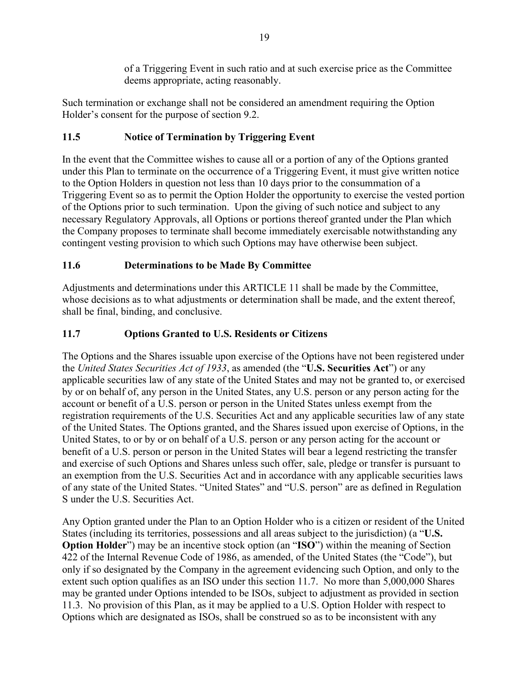of a Triggering Event in such ratio and at such exercise price as the Committee deems appropriate, acting reasonably.

Such termination or exchange shall not be considered an amendment requiring the Option Holder's consent for the purpose of section [9.2.](#page-48-2)

# <span id="page-51-0"></span>**11.5 Notice of Termination by Triggering Event**

In the event that the Committee wishes to cause all or a portion of any of the Options granted under this Plan to terminate on the occurrence of a Triggering Event, it must give written notice to the Option Holders in question not less than 10 days prior to the consummation of a Triggering Event so as to permit the Option Holder the opportunity to exercise the vested portion of the Options prior to such termination. Upon the giving of such notice and subject to any necessary Regulatory Approvals, all Options or portions thereof granted under the Plan which the Company proposes to terminate shall become immediately exercisable notwithstanding any contingent vesting provision to which such Options may have otherwise been subject.

# <span id="page-51-1"></span>**11.6 Determinations to be Made By Committee**

Adjustments and determinations under this [ARTICLE](#page-49-2) 11 shall be made by the Committee, whose decisions as to what adjustments or determination shall be made, and the extent thereof, shall be final, binding, and conclusive.

# <span id="page-51-2"></span>**11.7 Options Granted to U.S. Residents or Citizens**

The Options and the Shares issuable upon exercise of the Options have not been registered under the *United States Securities Act of 1933*, as amended (the "**U.S. Securities Act**") or any applicable securities law of any state of the United States and may not be granted to, or exercised by or on behalf of, any person in the United States, any U.S. person or any person acting for the account or benefit of a U.S. person or person in the United States unless exempt from the registration requirements of the U.S. Securities Act and any applicable securities law of any state of the United States. The Options granted, and the Shares issued upon exercise of Options, in the United States, to or by or on behalf of a U.S. person or any person acting for the account or benefit of a U.S. person or person in the United States will bear a legend restricting the transfer and exercise of such Options and Shares unless such offer, sale, pledge or transfer is pursuant to an exemption from the U.S. Securities Act and in accordance with any applicable securities laws of any state of the United States. "United States" and "U.S. person" are as defined in Regulation S under the U.S. Securities Act.

Any Option granted under the Plan to an Option Holder who is a citizen or resident of the United States (including its territories, possessions and all areas subject to the jurisdiction) (a "**U.S. Option Holder**") may be an incentive stock option (an "**ISO**") within the meaning of Section 422 of the Internal Revenue Code of 1986, as amended, of the United States (the "Code"), but only if so designated by the Company in the agreement evidencing such Option, and only to the extent such option qualifies as an ISO under this section [11.7.](#page-51-2) No more than 5,000,000 Shares may be granted under Options intended to be ISOs, subject to adjustment as provided in section [11.3.](#page-50-1) No provision of this Plan, as it may be applied to a U.S. Option Holder with respect to Options which are designated as ISOs, shall be construed so as to be inconsistent with any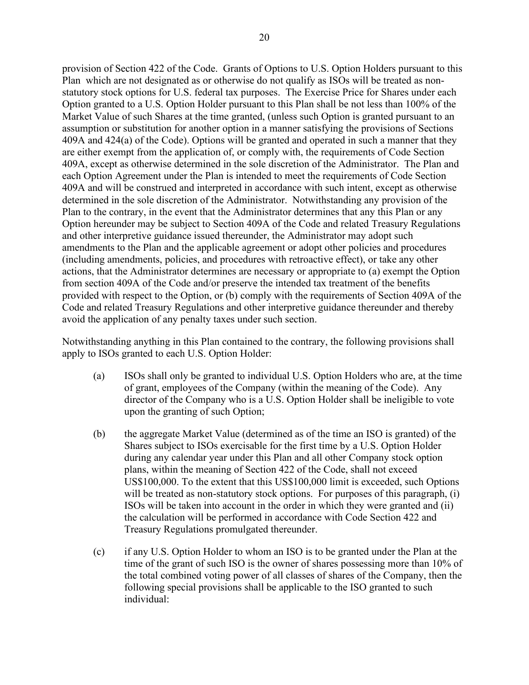provision of Section 422 of the Code. Grants of Options to U.S. Option Holders pursuant to this Plan which are not designated as or otherwise do not qualify as ISOs will be treated as nonstatutory stock options for U.S. federal tax purposes. The Exercise Price for Shares under each Option granted to a U.S. Option Holder pursuant to this Plan shall be not less than 100% of the Market Value of such Shares at the time granted, (unless such Option is granted pursuant to an assumption or substitution for another option in a manner satisfying the provisions of Sections 409A and 424(a) of the Code). Options will be granted and operated in such a manner that they are either exempt from the application of, or comply with, the requirements of Code Section 409A, except as otherwise determined in the sole discretion of the Administrator. The Plan and each Option Agreement under the Plan is intended to meet the requirements of Code Section 409A and will be construed and interpreted in accordance with such intent, except as otherwise determined in the sole discretion of the Administrator. Notwithstanding any provision of the Plan to the contrary, in the event that the Administrator determines that any this Plan or any Option hereunder may be subject to Section 409A of the Code and related Treasury Regulations and other interpretive guidance issued thereunder, the Administrator may adopt such amendments to the Plan and the applicable agreement or adopt other policies and procedures (including amendments, policies, and procedures with retroactive effect), or take any other actions, that the Administrator determines are necessary or appropriate to (a) exempt the Option from section 409A of the Code and/or preserve the intended tax treatment of the benefits provided with respect to the Option, or (b) comply with the requirements of Section 409A of the Code and related Treasury Regulations and other interpretive guidance thereunder and thereby avoid the application of any penalty taxes under such section.

Notwithstanding anything in this Plan contained to the contrary, the following provisions shall apply to ISOs granted to each U.S. Option Holder:

- (a) ISOs shall only be granted to individual U.S. Option Holders who are, at the time of grant, employees of the Company (within the meaning of the Code). Any director of the Company who is a U.S. Option Holder shall be ineligible to vote upon the granting of such Option;
- (b) the aggregate Market Value (determined as of the time an ISO is granted) of the Shares subject to ISOs exercisable for the first time by a U.S. Option Holder during any calendar year under this Plan and all other Company stock option plans, within the meaning of Section 422 of the Code, shall not exceed US\$100,000. To the extent that this US\$100,000 limit is exceeded, such Options will be treated as non-statutory stock options. For purposes of this paragraph, (i) ISOs will be taken into account in the order in which they were granted and (ii) the calculation will be performed in accordance with Code Section 422 and Treasury Regulations promulgated thereunder.
- (c) if any U.S. Option Holder to whom an ISO is to be granted under the Plan at the time of the grant of such ISO is the owner of shares possessing more than 10% of the total combined voting power of all classes of shares of the Company, then the following special provisions shall be applicable to the ISO granted to such individual: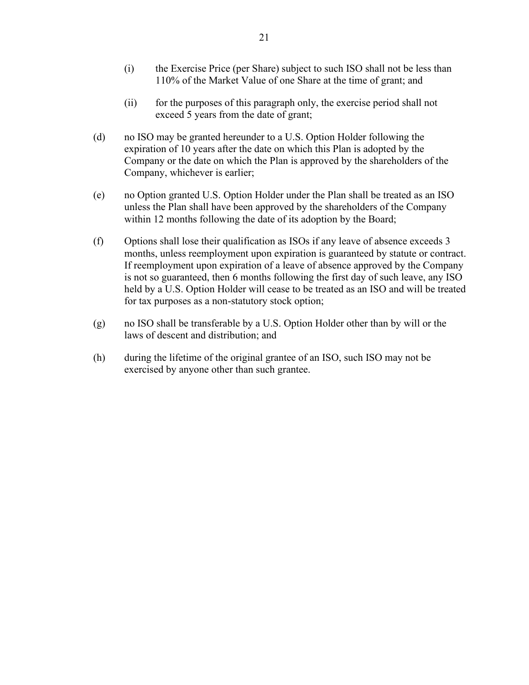- (i) the Exercise Price (per Share) subject to such ISO shall not be less than 110% of the Market Value of one Share at the time of grant; and
- (ii) for the purposes of this paragraph only, the exercise period shall not exceed 5 years from the date of grant;
- (d) no ISO may be granted hereunder to a U.S. Option Holder following the expiration of 10 years after the date on which this Plan is adopted by the Company or the date on which the Plan is approved by the shareholders of the Company, whichever is earlier;
- (e) no Option granted U.S. Option Holder under the Plan shall be treated as an ISO unless the Plan shall have been approved by the shareholders of the Company within 12 months following the date of its adoption by the Board;
- (f) Options shall lose their qualification as ISOs if any leave of absence exceeds 3 months, unless reemployment upon expiration is guaranteed by statute or contract. If reemployment upon expiration of a leave of absence approved by the Company is not so guaranteed, then 6 months following the first day of such leave, any ISO held by a U.S. Option Holder will cease to be treated as an ISO and will be treated for tax purposes as a non-statutory stock option;
- (g) no ISO shall be transferable by a U.S. Option Holder other than by will or the laws of descent and distribution; and
- (h) during the lifetime of the original grantee of an ISO, such ISO may not be exercised by anyone other than such grantee.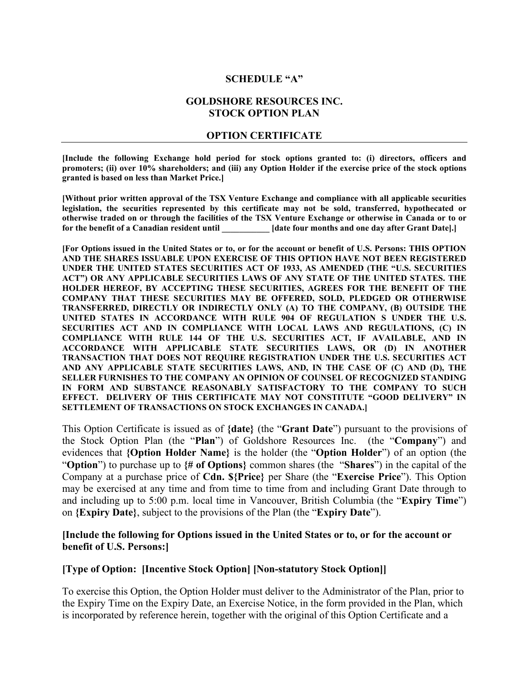#### **SCHEDULE "A"**

#### **GOLDSHORE RESOURCES INC. STOCK OPTION PLAN**

#### **OPTION CERTIFICATE**

**[Include the following Exchange hold period for stock options granted to: (i) directors, officers and promoters; (ii) over 10% shareholders; and (iii) any Option Holder if the exercise price of the stock options granted is based on less than Market Price.]** 

**[Without prior written approval of the TSX Venture Exchange and compliance with all applicable securities legislation, the securities represented by this certificate may not be sold, transferred, hypothecated or otherwise traded on or through the facilities of the TSX Venture Exchange or otherwise in Canada or to or for the benefit of a Canadian resident until \_\_\_\_\_\_\_\_\_\_\_ [date four months and one day after Grant Date].]** 

**[For Options issued in the United States or to, or for the account or benefit of U.S. Persons: THIS OPTION AND THE SHARES ISSUABLE UPON EXERCISE OF THIS OPTION HAVE NOT BEEN REGISTERED UNDER THE UNITED STATES SECURITIES ACT OF 1933, AS AMENDED (THE "U.S. SECURITIES ACT") OR ANY APPLICABLE SECURITIES LAWS OF ANY STATE OF THE UNITED STATES. THE HOLDER HEREOF, BY ACCEPTING THESE SECURITIES, AGREES FOR THE BENEFIT OF THE COMPANY THAT THESE SECURITIES MAY BE OFFERED, SOLD, PLEDGED OR OTHERWISE TRANSFERRED, DIRECTLY OR INDIRECTLY ONLY (A) TO THE COMPANY, (B) OUTSIDE THE UNITED STATES IN ACCORDANCE WITH RULE 904 OF REGULATION S UNDER THE U.S. SECURITIES ACT AND IN COMPLIANCE WITH LOCAL LAWS AND REGULATIONS, (C) IN COMPLIANCE WITH RULE 144 OF THE U.S. SECURITIES ACT, IF AVAILABLE, AND IN ACCORDANCE WITH APPLICABLE STATE SECURITIES LAWS, OR (D) IN ANOTHER TRANSACTION THAT DOES NOT REQUIRE REGISTRATION UNDER THE U.S. SECURITIES ACT AND ANY APPLICABLE STATE SECURITIES LAWS, AND, IN THE CASE OF (C) AND (D), THE SELLER FURNISHES TO THE COMPANY AN OPINION OF COUNSEL OF RECOGNIZED STANDING IN FORM AND SUBSTANCE REASONABLY SATISFACTORY TO THE COMPANY TO SUCH EFFECT. DELIVERY OF THIS CERTIFICATE MAY NOT CONSTITUTE "GOOD DELIVERY" IN SETTLEMENT OF TRANSACTIONS ON STOCK EXCHANGES IN CANADA.]**

This Option Certificate is issued as of **{date}** (the "**Grant Date**") pursuant to the provisions of the Stock Option Plan (the "**Plan**") of Goldshore Resources Inc. (the "**Company**") and evidences that **{Option Holder Name}** is the holder (the "**Option Holder**") of an option (the "**Option**") to purchase up to **{# of Options}** common shares (the "**Shares**") in the capital of the Company at a purchase price of **Cdn. \${Price}** per Share (the "**Exercise Price**"). This Option may be exercised at any time and from time to time from and including Grant Date through to and including up to 5:00 p.m. local time in Vancouver, British Columbia (the "**Expiry Time**") on **{Expiry Date}**, subject to the provisions of the Plan (the "**Expiry Date**").

#### **[Include the following for Options issued in the United States or to, or for the account or benefit of U.S. Persons:]**

#### **[Type of Option: [Incentive Stock Option] [Non-statutory Stock Option]]**

To exercise this Option, the Option Holder must deliver to the Administrator of the Plan, prior to the Expiry Time on the Expiry Date, an Exercise Notice, in the form provided in the Plan, which is incorporated by reference herein, together with the original of this Option Certificate and a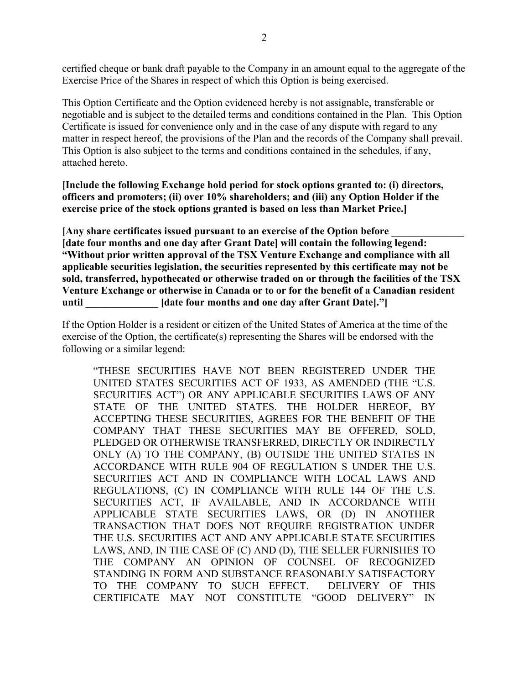certified cheque or bank draft payable to the Company in an amount equal to the aggregate of the Exercise Price of the Shares in respect of which this Option is being exercised.

This Option Certificate and the Option evidenced hereby is not assignable, transferable or negotiable and is subject to the detailed terms and conditions contained in the Plan. This Option Certificate is issued for convenience only and in the case of any dispute with regard to any matter in respect hereof, the provisions of the Plan and the records of the Company shall prevail. This Option is also subject to the terms and conditions contained in the schedules, if any, attached hereto.

**[Include the following Exchange hold period for stock options granted to: (i) directors, officers and promoters; (ii) over 10% shareholders; and (iii) any Option Holder if the exercise price of the stock options granted is based on less than Market Price.]** 

**[Any share certificates issued pursuant to an exercise of the Option before** \_\_\_\_\_\_\_\_\_\_\_\_\_\_ **[date four months and one day after Grant Date] will contain the following legend: "Without prior written approval of the TSX Venture Exchange and compliance with all applicable securities legislation, the securities represented by this certificate may not be sold, transferred, hypothecated or otherwise traded on or through the facilities of the TSX Venture Exchange or otherwise in Canada or to or for the benefit of a Canadian resident until** \_\_\_\_\_\_\_\_\_\_\_\_\_\_ **[date four months and one day after Grant Date]."]**

If the Option Holder is a resident or citizen of the United States of America at the time of the exercise of the Option, the certificate(s) representing the Shares will be endorsed with the following or a similar legend:

"THESE SECURITIES HAVE NOT BEEN REGISTERED UNDER THE UNITED STATES SECURITIES ACT OF 1933, AS AMENDED (THE "U.S. SECURITIES ACT") OR ANY APPLICABLE SECURITIES LAWS OF ANY STATE OF THE UNITED STATES. THE HOLDER HEREOF, BY ACCEPTING THESE SECURITIES, AGREES FOR THE BENEFIT OF THE COMPANY THAT THESE SECURITIES MAY BE OFFERED, SOLD, PLEDGED OR OTHERWISE TRANSFERRED, DIRECTLY OR INDIRECTLY ONLY (A) TO THE COMPANY, (B) OUTSIDE THE UNITED STATES IN ACCORDANCE WITH RULE 904 OF REGULATION S UNDER THE U.S. SECURITIES ACT AND IN COMPLIANCE WITH LOCAL LAWS AND REGULATIONS, (C) IN COMPLIANCE WITH RULE 144 OF THE U.S. SECURITIES ACT, IF AVAILABLE, AND IN ACCORDANCE WITH APPLICABLE STATE SECURITIES LAWS, OR (D) IN ANOTHER TRANSACTION THAT DOES NOT REQUIRE REGISTRATION UNDER THE U.S. SECURITIES ACT AND ANY APPLICABLE STATE SECURITIES LAWS, AND, IN THE CASE OF (C) AND (D), THE SELLER FURNISHES TO THE COMPANY AN OPINION OF COUNSEL OF RECOGNIZED STANDING IN FORM AND SUBSTANCE REASONABLY SATISFACTORY TO THE COMPANY TO SUCH EFFECT. DELIVERY OF THIS CERTIFICATE MAY NOT CONSTITUTE "GOOD DELIVERY" IN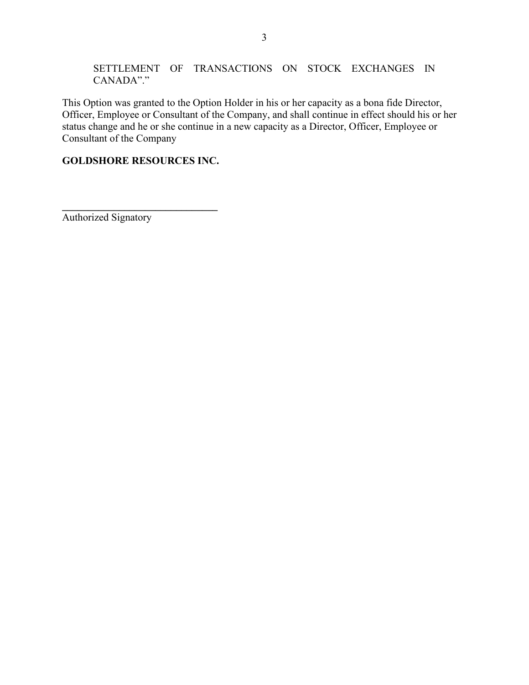#### SETTLEMENT OF TRANSACTIONS ON STOCK EXCHANGES IN CANADA"."

This Option was granted to the Option Holder in his or her capacity as a bona fide Director, Officer, Employee or Consultant of the Company, and shall continue in effect should his or her status change and he or she continue in a new capacity as a Director, Officer, Employee or Consultant of the Company

# **GOLDSHORE RESOURCES INC.**

**\_\_\_\_\_\_\_\_\_\_\_\_\_\_\_\_\_\_\_\_\_\_\_\_\_\_\_\_\_\_** Authorized Signatory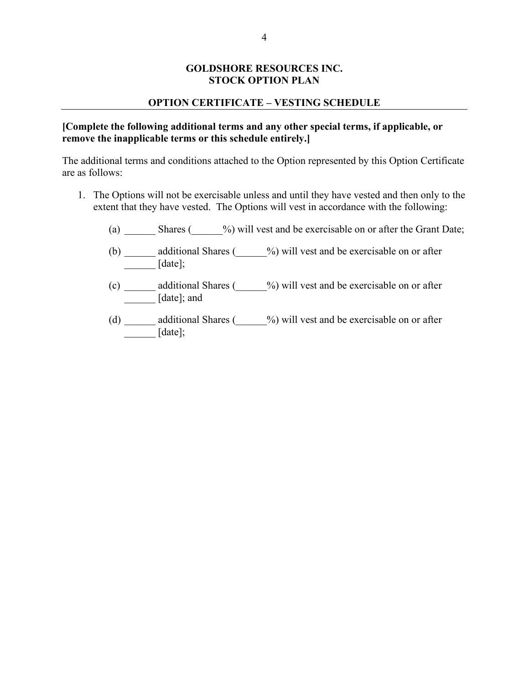#### **GOLDSHORE RESOURCES INC. STOCK OPTION PLAN**

#### **OPTION CERTIFICATE – VESTING SCHEDULE**

#### **[Complete the following additional terms and any other special terms, if applicable, or remove the inapplicable terms or this schedule entirely.]**

The additional terms and conditions attached to the Option represented by this Option Certificate are as follows:

- 1. The Options will not be exercisable unless and until they have vested and then only to the extent that they have vested. The Options will vest in accordance with the following:
	- (a) Shares ( $\frac{\%}{\%}$ ) will vest and be exercisable on or after the Grant Date;
	- (b) \_\_\_\_\_\_ additional Shares (\_\_\_\_\_\_%) will vest and be exercisable on or after  $[date];$
	- (c) \_\_\_\_\_\_ additional Shares (\_\_\_\_\_\_%) will vest and be exercisable on or after \_\_\_\_\_\_ [date]; and
	- (d) \_\_\_\_\_\_ additional Shares (\_\_\_\_\_\_%) will vest and be exercisable on or after  $\frac{1}{\text{[date]}}$ ;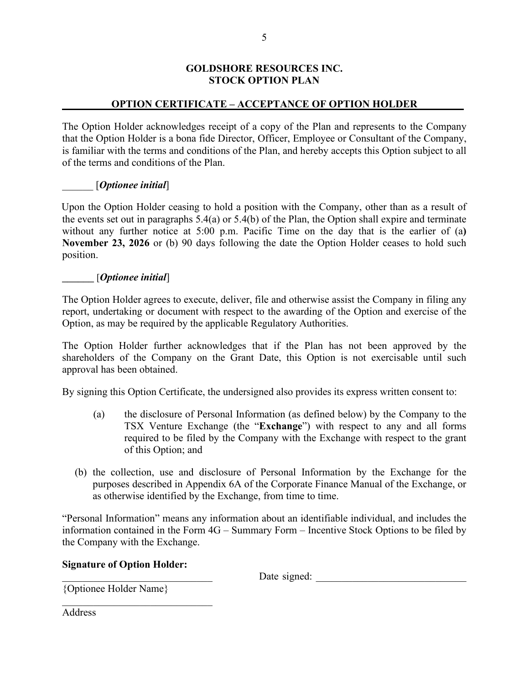#### **GOLDSHORE RESOURCES INC. STOCK OPTION PLAN**

# **OPTION CERTIFICATE – ACCEPTANCE OF OPTION HOLDER**

The Option Holder acknowledges receipt of a copy of the Plan and represents to the Company that the Option Holder is a bona fide Director, Officer, Employee or Consultant of the Company, is familiar with the terms and conditions of the Plan, and hereby accepts this Option subject to all of the terms and conditions of the Plan.

#### \_\_\_\_\_\_ [*Optionee initial*]

Upon the Option Holder ceasing to hold a position with the Company, other than as a result of the events set out in paragraphs 5.4(a) or 5.4(b) of the Plan, the Option shall expire and terminate without any further notice at 5:00 p.m. Pacific Time on the day that is the earlier of (a**) November 23, 2026** or (b) 90 days following the date the Option Holder ceases to hold such position.

#### \_\_\_\_\_\_ [*Optionee initial*]

The Option Holder agrees to execute, deliver, file and otherwise assist the Company in filing any report, undertaking or document with respect to the awarding of the Option and exercise of the Option, as may be required by the applicable Regulatory Authorities.

The Option Holder further acknowledges that if the Plan has not been approved by the shareholders of the Company on the Grant Date, this Option is not exercisable until such approval has been obtained.

By signing this Option Certificate, the undersigned also provides its express written consent to:

- (a) the disclosure of Personal Information (as defined below) by the Company to the TSX Venture Exchange (the "**Exchange**") with respect to any and all forms required to be filed by the Company with the Exchange with respect to the grant of this Option; and
- (b) the collection, use and disclosure of Personal Information by the Exchange for the purposes described in Appendix 6A of the Corporate Finance Manual of the Exchange, or as otherwise identified by the Exchange, from time to time.

"Personal Information" means any information about an identifiable individual, and includes the information contained in the Form 4G – Summary Form – Incentive Stock Options to be filed by the Company with the Exchange.

#### **Signature of Option Holder:**

\_\_\_\_\_\_\_\_\_\_\_\_\_\_\_\_\_\_\_\_\_\_\_\_\_\_\_\_\_

\_\_\_\_\_\_\_\_\_\_\_\_\_\_\_\_\_\_\_\_\_\_\_\_\_\_\_\_\_ Date signed: \_\_\_\_\_\_\_\_\_\_\_\_\_\_\_\_\_\_\_\_\_\_\_\_\_\_\_\_\_

{Optionee Holder Name}

Address